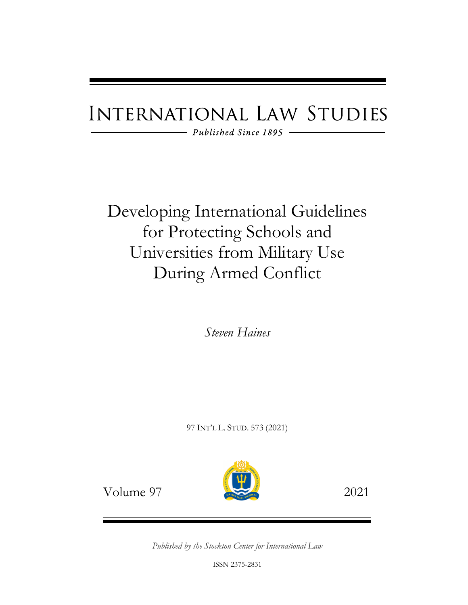# **INTERNATIONAL LAW STUDIES**

- Published Since 1895

Developing International Guidelines for Protecting Schools and Universities from Military Use During Armed Conflict

*Steven Haines*

97 INT'L L. STUD. 573 (2021)



Volume 97 2021

*Published by the Stockton Center for International Law*

ISSN 2375-2831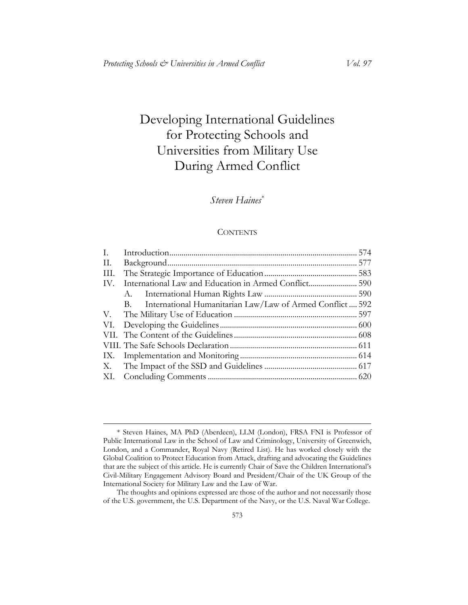## Developing International Guidelines for Protecting Schools and Universities from Military Use During Armed Conflict

### *Steven Haines*[\\*](#page-1-0)

#### **CONTENTS**

| International Humanitarian Law/Law of Armed Conflict 592<br>B. |  |
|----------------------------------------------------------------|--|
|                                                                |  |
|                                                                |  |
|                                                                |  |
|                                                                |  |
|                                                                |  |
|                                                                |  |
|                                                                |  |
|                                                                |  |

<span id="page-1-0"></span> $\overline{a}$ \* Steven Haines, MA PhD (Aberdeen), LLM (London), FRSA FNI is Professor of Public International Law in the School of Law and Criminology, University of Greenwich, London, and a Commander, Royal Navy (Retired List). He has worked closely with the Global Coalition to Protect Education from Attack, drafting and advocating the Guidelines that are the subject of this article. He is currently Chair of Save the Children International's Civil-Military Engagement Advisory Board and President/Chair of the UK Group of the International Society for Military Law and the Law of War.

The thoughts and opinions expressed are those of the author and not necessarily those of the U.S. government, the U.S. Department of the Navy, or the U.S. Naval War College.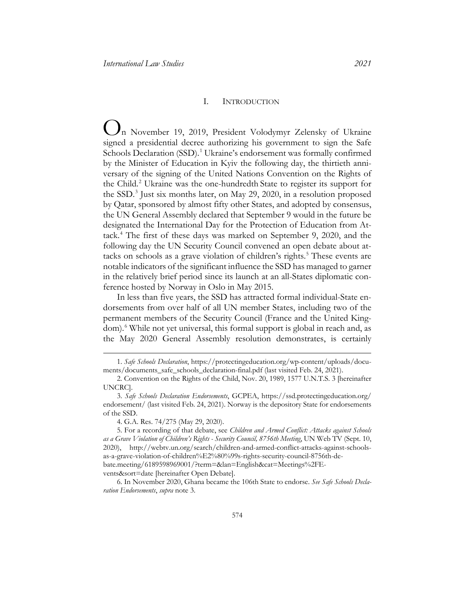#### <span id="page-2-10"></span><span id="page-2-9"></span>I. INTRODUCTION

<span id="page-2-8"></span><span id="page-2-1"></span><span id="page-2-0"></span>O n November 19, 2019, President Volodymyr Zelensky of Ukraine signed a presidential decree authorizing his government to sign the Safe Schools Declaration (SSD).<sup>[1](#page-2-2)</sup> Ukraine's endorsement was formally confirmed by the Minister of Education in Kyiv the following day, the thirtieth anniversary of the signing of the United Nations Convention on the Rights of the Child.<sup>[2](#page-2-3)</sup> Ukraine was the one-hundredth State to register its support for the SSD. [3](#page-2-4) Just six months later, on May 29, 2020, in a resolution proposed by Qatar, sponsored by almost fifty other States, and adopted by consensus, the UN General Assembly declared that September 9 would in the future be designated the International Day for the Protection of Education from Attack.[4](#page-2-5) The first of these days was marked on September 9, 2020, and the following day the UN Security Council convened an open debate about attacks on schools as a grave violation of children's rights. [5](#page-2-6) These events are notable indicators of the significant influence the SSD has managed to garner in the relatively brief period since its launch at an all-States diplomatic conference hosted by Norway in Oslo in May 2015.

In less than five years, the SSD has attracted formal individual-State endorsements from over half of all UN member States, including two of the permanent members of the Security Council (France and the United King-dom).<sup>[6](#page-2-7)</sup> While not yet universal, this formal support is global in reach and, as the May 2020 General Assembly resolution demonstrates, is certainly

 $\overline{a}$ 

<span id="page-2-7"></span>6. In November 2020, Ghana became the 106th State to endorse. *See Safe Schools Declaration Endorsements*, *supra* note [3.](#page-2-1)

<span id="page-2-2"></span><sup>1.</sup> *Safe Schools Declaration*, [https://protectingeducation.org/wp-content/uploads/docu](https://protectingeducation.org/wp-content/uploads/documents/documents_safe_schools_declaration-final.pdf)[ments/documents\\_safe\\_schools\\_declaration-final.pdf](https://protectingeducation.org/wp-content/uploads/documents/documents_safe_schools_declaration-final.pdf) (last visited Feb. 24, 2021).

<span id="page-2-3"></span><sup>2.</sup> Convention on the Rights of the Child, Nov. 20, 1989, 1577 U.N.T.S. 3 [hereinafter UNCRC].

<span id="page-2-4"></span><sup>3.</sup> *Safe Schools Declaration Endorsements*, GCPEA, [https://ssd.protectingeducation.org/](https://ssd.protectingeducation.org/endorsement/)  [endorsement/](https://ssd.protectingeducation.org/endorsement/) (last visited Feb. 24, 2021). Norway is the depository State for endorsements of the SSD.

<sup>4.</sup> G.A. Res. 74/275 (May 29, 2020).

<span id="page-2-6"></span><span id="page-2-5"></span><sup>5.</sup> For a recording of that debate, see *Children and Armed Conflict: Attacks against Schools as a Grave Violation of Children's Rights - Security Council, 8756th Meeting*, UN Web TV (Sept. 10, 2020), [http://webtv.un.org/search/children-and-armed-conflict-attacks-against-schools](http://webtv.un.org/search/children-and-armed-conflict-attacks-against-schools-as-a-grave-violation-of-children%E2%80%99s-rights-security-council-8756th-debate.meeting/6189598969001/?term=&lan=English&cat=Meetings%2FEvents&sort=date)[as-a-grave-violation-of-children%E2%80%99s-rights-security-council-8756th-de](http://webtv.un.org/search/children-and-armed-conflict-attacks-against-schools-as-a-grave-violation-of-children%E2%80%99s-rights-security-council-8756th-debate.meeting/6189598969001/?term=&lan=English&cat=Meetings%2FEvents&sort=date)[bate.meeting/6189598969001/?term=&lan=English&cat=Meetings%2FE](http://webtv.un.org/search/children-and-armed-conflict-attacks-against-schools-as-a-grave-violation-of-children%E2%80%99s-rights-security-council-8756th-debate.meeting/6189598969001/?term=&lan=English&cat=Meetings%2FEvents&sort=date)[vents&sort=date](http://webtv.un.org/search/children-and-armed-conflict-attacks-against-schools-as-a-grave-violation-of-children%E2%80%99s-rights-security-council-8756th-debate.meeting/6189598969001/?term=&lan=English&cat=Meetings%2FEvents&sort=date) [hereinafter Open Debate].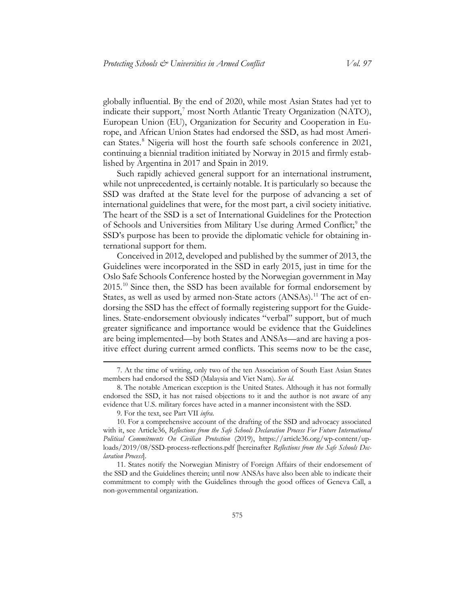globally influential. By the end of 2020, while most Asian States had yet to indicate their support,<sup>[7](#page-3-0)</sup> most North Atlantic Treaty Organization (NATO), European Union (EU), Organization for Security and Cooperation in Europe, and African Union States had endorsed the SSD, as had most Ameri-can States.<sup>[8](#page-3-1)</sup> Nigeria will host the fourth safe schools conference in 2021, continuing a biennial tradition initiated by Norway in 2015 and firmly established by Argentina in 2017 and Spain in 2019.

Such rapidly achieved general support for an international instrument, while not unprecedented, is certainly notable. It is particularly so because the SSD was drafted at the State level for the purpose of advancing a set of international guidelines that were, for the most part, a civil society initiative. The heart of the SSD is a set of International Guidelines for the Protection of Schools and Universities from Military Use during Armed Conflict;<sup>[9](#page-3-2)</sup> the SSD's purpose has been to provide the diplomatic vehicle for obtaining international support for them.

<span id="page-3-5"></span>Conceived in 2012, developed and published by the summer of 2013, the Guidelines were incorporated in the SSD in early 2015, just in time for the Oslo Safe Schools Conference hosted by the Norwegian government in May 2015.[10](#page-3-3) Since then, the SSD has been available for formal endorsement by States, as well as used by armed non-State actors (ANSAs).<sup>[11](#page-3-4)</sup> The act of endorsing the SSD has the effect of formally registering support for the Guidelines. State-endorsement obviously indicates "verbal" support, but of much greater significance and importance would be evidence that the Guidelines are being implemented—by both States and ANSAs—and are having a positive effect during current armed conflicts. This seems now to be the case,

<span id="page-3-0"></span><sup>7.</sup> At the time of writing, only two of the ten Association of South East Asian States members had endorsed the SSD (Malaysia and Viet Nam). *See id.*

<span id="page-3-1"></span><sup>8.</sup> The notable American exception is the United States. Although it has not formally endorsed the SSD, it has not raised objections to it and the author is not aware of any evidence that U.S. military forces have acted in a manner inconsistent with the SSD.

<sup>9.</sup> For the text, see Part VII *infra*.

<span id="page-3-3"></span><span id="page-3-2"></span><sup>10.</sup> For a comprehensive account of the drafting of the SSD and advocacy associated with it, see Article36, *Reflections from the Safe Schools Declaration Process For Future International Political Commitments On Civilian Protection* (2019), [https://article36.org/wp-content/up](https://article36.org/wp-content/uploads/2019/08/SSD-process-reflections.pdf)[loads/2019/08/SSD-process-reflections.pdf](https://article36.org/wp-content/uploads/2019/08/SSD-process-reflections.pdf) [hereinafter *Reflections from the Safe Schools Declaration Process*].

<span id="page-3-4"></span><sup>11.</sup> States notify the Norwegian Ministry of Foreign Affairs of their endorsement of the SSD and the Guidelines therein; until now ANSAs have also been able to indicate their commitment to comply with the Guidelines through the good offices of Geneva Call, a non-governmental organization.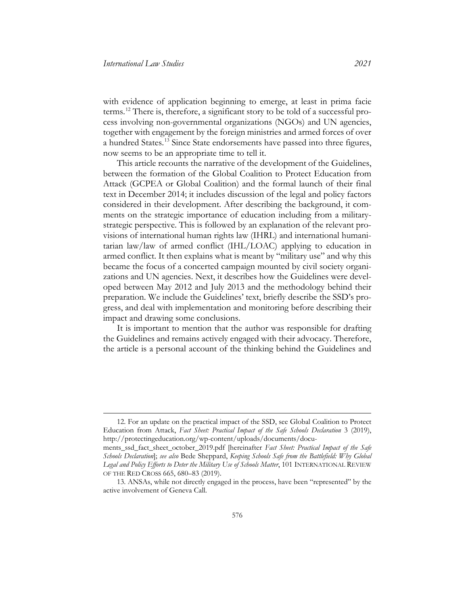<span id="page-4-2"></span>with evidence of application beginning to emerge, at least in prima facie terms.[12](#page-4-0) There is, therefore, a significant story to be told of a successful process involving non-governmental organizations (NGOs) and UN agencies, together with engagement by the foreign ministries and armed forces of over a hundred States.[13](#page-4-1) Since State endorsements have passed into three figures, now seems to be an appropriate time to tell it.

This article recounts the narrative of the development of the Guidelines, between the formation of the Global Coalition to Protect Education from Attack (GCPEA or Global Coalition) and the formal launch of their final text in December 2014; it includes discussion of the legal and policy factors considered in their development. After describing the background, it comments on the strategic importance of education including from a militarystrategic perspective. This is followed by an explanation of the relevant provisions of international human rights law (IHRL) and international humanitarian law/law of armed conflict (IHL/LOAC) applying to education in armed conflict. It then explains what is meant by "military use" and why this became the focus of a concerted campaign mounted by civil society organizations and UN agencies. Next, it describes how the Guidelines were developed between May 2012 and July 2013 and the methodology behind their preparation. We include the Guidelines' text, briefly describe the SSD's progress, and deal with implementation and monitoring before describing their impact and drawing some conclusions.

It is important to mention that the author was responsible for drafting the Guidelines and remains actively engaged with their advocacy. Therefore, the article is a personal account of the thinking behind the Guidelines and

<span id="page-4-0"></span><sup>12.</sup> For an update on the practical impact of the SSD, see Global Coalition to Protect Education from Attack, *Fact Sheet: Practical Impact of the Safe Schools Declaration* 3 (2019), [http://protectingeducation.org/wp-content/uploads/documents/docu-](http://protectingeducation.org/wp-content/uploads/documents/documents_ssd_fact_sheet_october_2019.pdf)

[ments\\_ssd\\_fact\\_sheet\\_october\\_2019.pdf](http://protectingeducation.org/wp-content/uploads/documents/documents_ssd_fact_sheet_october_2019.pdf) [hereinafter *Fact Sheet: Practical Impact of the Safe Schools Declaration*]; *see also* Bede Sheppard, *Keeping Schools Safe from the Battlefield: Why Global Legal and Policy Efforts to Deter the Military Use of Schools Matter*, 101 INTERNATIONAL REVIEW OF THE RED CROSS 665, 680–83 (2019).

<span id="page-4-1"></span><sup>13.</sup> ANSAs, while not directly engaged in the process, have been "represented" by the active involvement of Geneva Call.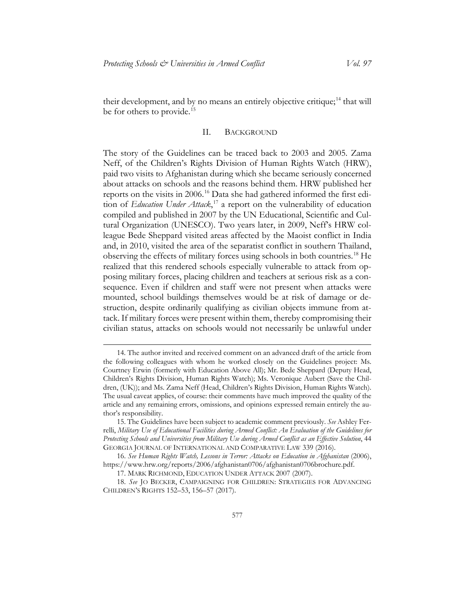their development, and by no means an entirely objective critique;<sup>[14](#page-5-1)</sup> that will be for others to provide.<sup>[15](#page-5-2)</sup>

#### II. BACKGROUND

<span id="page-5-0"></span>The story of the Guidelines can be traced back to 2003 and 2005. Zama Neff, of the Children's Rights Division of Human Rights Watch (HRW), paid two visits to Afghanistan during which she became seriously concerned about attacks on schools and the reasons behind them. HRW published her reports on the visits in 2006.[16](#page-5-3) Data she had gathered informed the first edition of *Education Under Attack*, [17](#page-5-4) a report on the vulnerability of education compiled and published in 2007 by the UN Educational, Scientific and Cultural Organization (UNESCO). Two years later, in 2009, Neff's HRW colleague Bede Sheppard visited areas affected by the Maoist conflict in India and, in 2010, visited the area of the separatist conflict in southern Thailand, observing the effects of military forces using schools in both countries.[18](#page-5-5) He realized that this rendered schools especially vulnerable to attack from opposing military forces, placing children and teachers at serious risk as a consequence. Even if children and staff were not present when attacks were mounted, school buildings themselves would be at risk of damage or destruction, despite ordinarily qualifying as civilian objects immune from attack. If military forces were present within them, thereby compromising their civilian status, attacks on schools would not necessarily be unlawful under

<span id="page-5-1"></span><sup>14.</sup> The author invited and received comment on an advanced draft of the article from the following colleagues with whom he worked closely on the Guidelines project: Ms. Courtney Erwin (formerly with Education Above All); Mr. Bede Sheppard (Deputy Head, Children's Rights Division, Human Rights Watch); Ms. Veronique Aubert (Save the Children, (UK)); and Ms. Zama Neff (Head, Children's Rights Division, Human Rights Watch). The usual caveat applies, of course: their comments have much improved the quality of the article and any remaining errors, omissions, and opinions expressed remain entirely the author's responsibility.

<span id="page-5-2"></span><sup>15.</sup> The Guidelines have been subject to academic comment previously. *See* Ashley Ferrelli, *Military Use of Educational Facilities during Armed Conflict: An Evaluation of the Guidelines for Protecting Schools and Universities from Military Use during Armed Conflict as an Effective Solution*, 44 GEORGIA JOURNAL OF INTERNATIONAL AND COMPARATIVE LAW 339 (2016).

<span id="page-5-3"></span><sup>16.</sup> *See Human Rights Watch, Lessons in Terror: Attacks on Education in Afghanistan* (2006), [https://www.hrw.org/reports/2006/afghanistan0706/afghanistan0706brochure.pdf.](https://www.hrw.org/reports/2006/afghanistan0706/afghanistan0706brochure.pdf)

<sup>17.</sup> MARK RICHMOND, EDUCATION UNDER ATTACK 2007 (2007).

<span id="page-5-5"></span><span id="page-5-4"></span><sup>18.</sup> *See* JO BECKER, CAMPAIGNING FOR CHILDREN: STRATEGIES FOR ADVANCING CHILDREN'S RIGHTS 152–53, 156–57 (2017).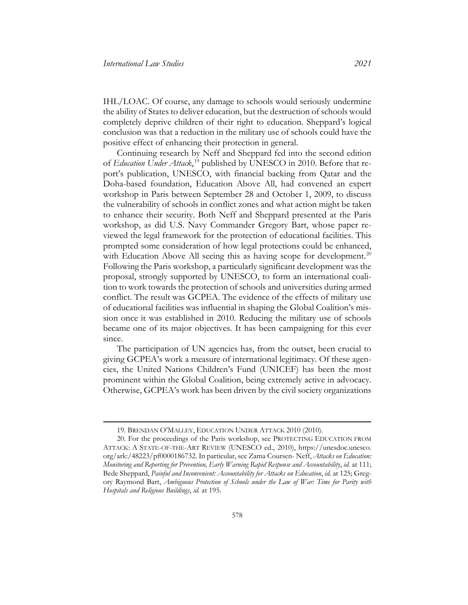IHL/LOAC. Of course, any damage to schools would seriously undermine the ability of States to deliver education, but the destruction of schools would completely deprive children of their right to education. Sheppard's logical conclusion was that a reduction in the military use of schools could have the positive effect of enhancing their protection in general.

Continuing research by Neff and Sheppard fed into the second edition of *Education Under Attack*, [19](#page-6-0) published by UNESCO in 2010. Before that report's publication, UNESCO, with financial backing from Qatar and the Doha-based foundation, Education Above All, had convened an expert workshop in Paris between September 28 and October 1, 2009, to discuss the vulnerability of schools in conflict zones and what action might be taken to enhance their security. Both Neff and Sheppard presented at the Paris workshop, as did U.S. Navy Commander Gregory Bart, whose paper reviewed the legal framework for the protection of educational facilities. This prompted some consideration of how legal protections could be enhanced, with Education Above All seeing this as having scope for development.<sup>[20](#page-6-1)</sup> Following the Paris workshop, a particularly significant development was the proposal, strongly supported by UNESCO, to form an international coalition to work towards the protection of schools and universities during armed conflict. The result was GCPEA. The evidence of the effects of military use of educational facilities was influential in shaping the Global Coalition's mission once it was established in 2010. Reducing the military use of schools became one of its major objectives. It has been campaigning for this ever since.

The participation of UN agencies has, from the outset, been crucial to giving GCPEA's work a measure of international legitimacy. Of these agencies, the United Nations Children's Fund (UNICEF) has been the most prominent within the Global Coalition, being extremely active in advocacy. Otherwise, GCPEA's work has been driven by the civil society organizations

<sup>19.</sup> BRENDAN O'MALLEY, EDUCATION UNDER ATTACK 2010 (2010).

<span id="page-6-1"></span><span id="page-6-0"></span><sup>20.</sup> For the proceedings of the Paris workshop, see PROTECTING EDUCATION FROM ATTACK: A STATE-OF-THE-ART REVIEW (UNESCO ed., 2010), [https://unesdoc.unesco.](https://unesdoc.unesco.org/ark:/48223/pf0000186732)  [org/ark:/48223/pf0000186732.](https://unesdoc.unesco.org/ark:/48223/pf0000186732) In particular, see Zama Coursen- Neff, *Attacks on Education: Monitoring and Reporting for Prevention, Early Warning Rapid Response and Accountability*, *id.* at 111; Bede Sheppard, *Painful and Inconvenient: Accountability for Attacks on Education*, *id.* at 125; Gregory Raymond Bart, *Ambiguous Protection of Schools under the Law of War: Time for Parity with Hospitals and Religious Buildings*, *id.* at 195.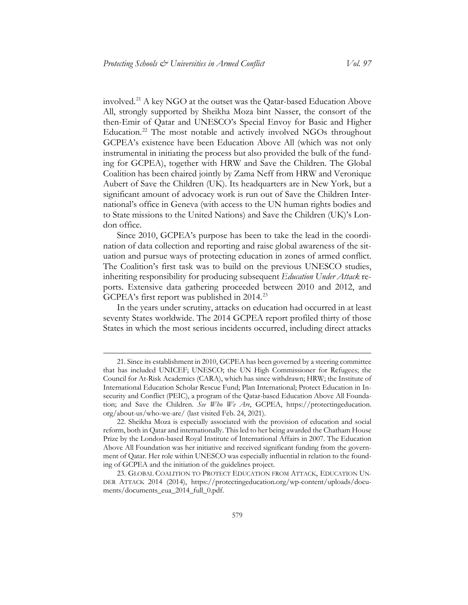involved.[21](#page-7-0) A key NGO at the outset was the Qatar-based Education Above All, strongly supported by Sheikha Moza bint Nasser, the consort of the then-Emir of Qatar and UNESCO's Special Envoy for Basic and Higher Education.<sup>[22](#page-7-1)</sup> The most notable and actively involved NGOs throughout GCPEA's existence have been Education Above All (which was not only instrumental in initiating the process but also provided the bulk of the funding for GCPEA), together with HRW and Save the Children. The Global Coalition has been chaired jointly by Zama Neff from HRW and Veronique Aubert of Save the Children (UK). Its headquarters are in New York, but a significant amount of advocacy work is run out of Save the Children International's office in Geneva (with access to the UN human rights bodies and to State missions to the United Nations) and Save the Children (UK)'s London office.

Since 2010, GCPEA's purpose has been to take the lead in the coordination of data collection and reporting and raise global awareness of the situation and pursue ways of protecting education in zones of armed conflict. The Coalition's first task was to build on the previous UNESCO studies, inheriting responsibility for producing subsequent *Education Under Attack* reports. Extensive data gathering proceeded between 2010 and 2012, and GCPEA's first report was published in 2014.<sup>[23](#page-7-2)</sup>

In the years under scrutiny, attacks on education had occurred in at least seventy States worldwide. The 2014 GCPEA report profiled thirty of those States in which the most serious incidents occurred, including direct attacks

<span id="page-7-0"></span><sup>21.</sup> Since its establishment in 2010, GCPEA has been governed by a steering committee that has included UNICEF; UNESCO; the UN High Commissioner for Refugees; the Council for At-Risk Academics (CARA), which has since withdrawn; HRW; the Institute of International Education Scholar Rescue Fund; Plan International; Protect Education in Insecurity and Conflict (PEIC), a program of the Qatar-based Education Above All Foundation; and Save the Children. *See Who We Are*, GCPEA, [https://protectingeducation.](https://protectingeducation.org/about-us/who-we-are/)  [org/about-us/who-we-are/](https://protectingeducation.org/about-us/who-we-are/) (last visited Feb. 24, 2021).

<span id="page-7-1"></span><sup>22.</sup> Sheikha Moza is especially associated with the provision of education and social reform, both in Qatar and internationally. This led to her being awarded the Chatham House Prize by the London-based Royal Institute of International Affairs in 2007. The Education Above All Foundation was her initiative and received significant funding from the government of Qatar. Her role within UNESCO was especially influential in relation to the founding of GCPEA and the initiation of the guidelines project.

<span id="page-7-2"></span><sup>23.</sup> GLOBAL COALITION TO PROTECT EDUCATION FROM ATTACK, EDUCATION UN-DER ATTACK 2014 (2014), [https://protectingeducation.org/wp-content/uploads/docu](https://protectingeducation.org/wp-content/uploads/documents/documents_eua_2014_full_0.pdf)[ments/documents\\_eua\\_2014\\_full\\_0.pdf.](https://protectingeducation.org/wp-content/uploads/documents/documents_eua_2014_full_0.pdf)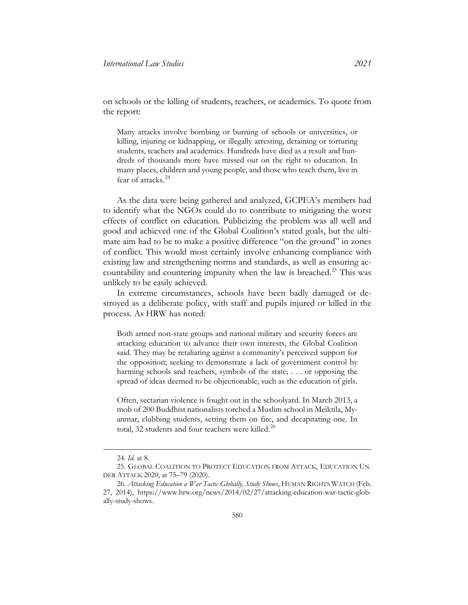on schools or the killing of students, teachers, or academics. To quote from the report:

Many attacks involve bombing or burning of schools or universities, or killing, injuring or kidnapping, or illegally arresting, detaining or torturing students, teachers and academics. Hundreds have died as a result and hundreds of thousands more have missed out on the right to education. In many places, children and young people, and those who teach them, live in fear of attacks.[24](#page-8-0)

As the data were being gathered and analyzed, GCPEA's members had to identify what the NGOs could do to contribute to mitigating the worst effects of conflict on education. Publicizing the problem was all well and good and achieved one of the Global Coalition's stated goals, but the ultimate aim had to be to make a positive difference "on the ground" in zones of conflict. This would most certainly involve enhancing compliance with existing law and strengthening norms and standards, as well as ensuring ac-countability and countering impunity when the law is breached.<sup>[25](#page-8-1)</sup> This was unlikely to be easily achieved.

In extreme circumstances, schools have been badly damaged or destroyed as a deliberate policy, with staff and pupils injured or killed in the process. As HRW has noted:

Both armed non-state groups and national military and security forces are attacking education to advance their own interests, the Global Coalition said. They may be retaliating against a community's perceived support for the opposition; seeking to demonstrate a lack of government control by harming schools and teachers, symbols of the state; . . . or opposing the spread of ideas deemed to be objectionable, such as the education of girls.

Often, sectarian violence is fought out in the schoolyard. In March 2013, a mob of 200 Buddhist nationalists torched a Muslim school in Meiktila, Myanmar, clubbing students, setting them on fire, and decapitating one. In total, 32 students and four teachers were killed.<sup>[26](#page-8-2)</sup>

 $\overline{a}$ 

580

<sup>24.</sup> *Id.* at 8.

<span id="page-8-1"></span><span id="page-8-0"></span><sup>25.</sup> GLOBAL COALITION TO PROTECT EDUCATION FROM ATTACK, EDUCATION UN-DER ATTACK 2020, at 75–79 (2020).

<span id="page-8-2"></span><sup>26.</sup> *Attacking Education a War Tactic Globally, Study Shows*, HUMAN RIGHTS WATCH (Feb. 27, 2014), [https://www.hrw.org/news/2014/02/27/attacking-education-war-tactic-glob](https://www.hrw.org/news/2014/02/27/attacking-education-war-tactic-globally-study-shows)[ally-study-shows.](https://www.hrw.org/news/2014/02/27/attacking-education-war-tactic-globally-study-shows)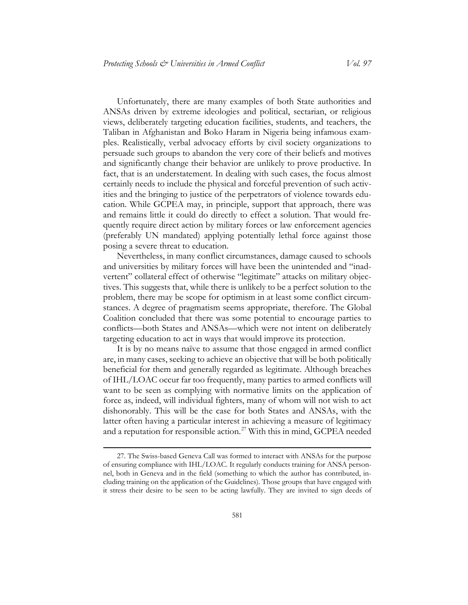Unfortunately, there are many examples of both State authorities and ANSAs driven by extreme ideologies and political, sectarian, or religious views, deliberately targeting education facilities, students, and teachers, the Taliban in Afghanistan and Boko Haram in Nigeria being infamous examples. Realistically, verbal advocacy efforts by civil society organizations to persuade such groups to abandon the very core of their beliefs and motives and significantly change their behavior are unlikely to prove productive. In fact, that is an understatement. In dealing with such cases, the focus almost certainly needs to include the physical and forceful prevention of such activities and the bringing to justice of the perpetrators of violence towards education. While GCPEA may, in principle, support that approach, there was and remains little it could do directly to effect a solution. That would frequently require direct action by military forces or law enforcement agencies (preferably UN mandated) applying potentially lethal force against those posing a severe threat to education.

Nevertheless, in many conflict circumstances, damage caused to schools and universities by military forces will have been the unintended and "inadvertent" collateral effect of otherwise "legitimate" attacks on military objectives. This suggests that, while there is unlikely to be a perfect solution to the problem, there may be scope for optimism in at least some conflict circumstances. A degree of pragmatism seems appropriate, therefore. The Global Coalition concluded that there was some potential to encourage parties to conflicts—both States and ANSAs—which were not intent on deliberately targeting education to act in ways that would improve its protection.

It is by no means naïve to assume that those engaged in armed conflict are, in many cases, seeking to achieve an objective that will be both politically beneficial for them and generally regarded as legitimate. Although breaches of IHL/LOAC occur far too frequently, many parties to armed conflicts will want to be seen as complying with normative limits on the application of force as, indeed, will individual fighters, many of whom will not wish to act dishonorably. This will be the case for both States and ANSAs, with the latter often having a particular interest in achieving a measure of legitimacy and a reputation for responsible action.[27](#page-9-0) With this in mind, GCPEA needed

<span id="page-9-0"></span><sup>27.</sup> The Swiss-based Geneva Call was formed to interact with ANSAs for the purpose of ensuring compliance with IHL/LOAC. It regularly conducts training for ANSA personnel, both in Geneva and in the field (something to which the author has contributed, including training on the application of the Guidelines). Those groups that have engaged with it stress their desire to be seen to be acting lawfully. They are invited to sign deeds of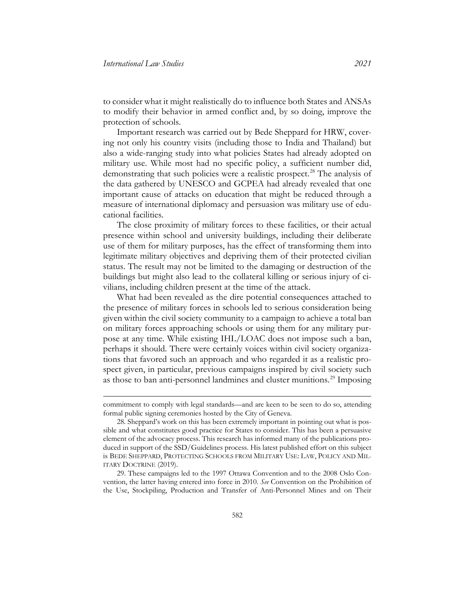to consider what it might realistically do to influence both States and ANSAs to modify their behavior in armed conflict and, by so doing, improve the protection of schools.

Important research was carried out by Bede Sheppard for HRW, covering not only his country visits (including those to India and Thailand) but also a wide-ranging study into what policies States had already adopted on military use. While most had no specific policy, a sufficient number did, demonstrating that such policies were a realistic prospect.<sup>[28](#page-10-0)</sup> The analysis of the data gathered by UNESCO and GCPEA had already revealed that one important cause of attacks on education that might be reduced through a measure of international diplomacy and persuasion was military use of educational facilities.

The close proximity of military forces to these facilities, or their actual presence within school and university buildings, including their deliberate use of them for military purposes, has the effect of transforming them into legitimate military objectives and depriving them of their protected civilian status. The result may not be limited to the damaging or destruction of the buildings but might also lead to the collateral killing or serious injury of civilians, including children present at the time of the attack.

What had been revealed as the dire potential consequences attached to the presence of military forces in schools led to serious consideration being given within the civil society community to a campaign to achieve a total ban on military forces approaching schools or using them for any military purpose at any time. While existing IHL/LOAC does not impose such a ban, perhaps it should. There were certainly voices within civil society organizations that favored such an approach and who regarded it as a realistic prospect given, in particular, previous campaigns inspired by civil society such as those to ban anti-personnel landmines and cluster munitions.<sup>[29](#page-10-1)</sup> Imposing

commitment to comply with legal standards—and are keen to be seen to do so, attending formal public signing ceremonies hosted by the City of Geneva.

<span id="page-10-0"></span><sup>28.</sup> Sheppard's work on this has been extremely important in pointing out what is possible and what constitutes good practice for States to consider. This has been a persuasive element of the advocacy process. This research has informed many of the publications produced in support of the SSD*/*Guidelines process. His latest published effort on this subject is BEDE SHEPPARD, PROTECTING SCHOOLS FROM MILITARY USE: LAW, POLICY AND MIL-ITARY DOCTRINE (2019).

<span id="page-10-1"></span><sup>29.</sup> These campaigns led to the 1997 Ottawa Convention and to the 2008 Oslo Convention, the latter having entered into force in 2010. *See* Convention on the Prohibition of the Use, Stockpiling, Production and Transfer of Anti-Personnel Mines and on Their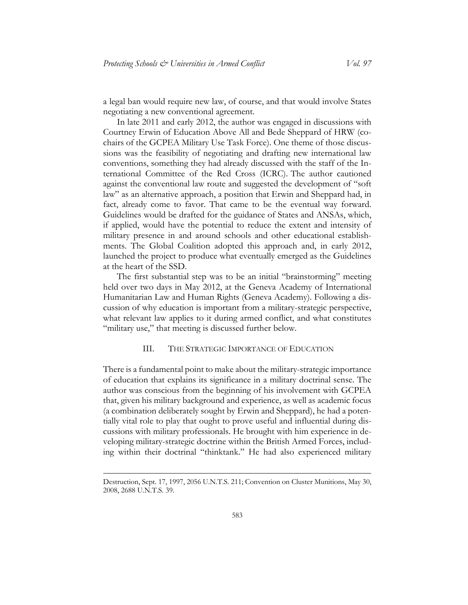a legal ban would require new law, of course, and that would involve States negotiating a new conventional agreement.

In late 2011 and early 2012, the author was engaged in discussions with Courtney Erwin of Education Above All and Bede Sheppard of HRW (cochairs of the GCPEA Military Use Task Force). One theme of those discussions was the feasibility of negotiating and drafting new international law conventions, something they had already discussed with the staff of the International Committee of the Red Cross (ICRC). The author cautioned against the conventional law route and suggested the development of "soft law" as an alternative approach, a position that Erwin and Sheppard had, in fact, already come to favor. That came to be the eventual way forward. Guidelines would be drafted for the guidance of States and ANSAs, which, if applied, would have the potential to reduce the extent and intensity of military presence in and around schools and other educational establishments. The Global Coalition adopted this approach and, in early 2012, launched the project to produce what eventually emerged as the Guidelines at the heart of the SSD.

The first substantial step was to be an initial "brainstorming" meeting held over two days in May 2012, at the Geneva Academy of International Humanitarian Law and Human Rights (Geneva Academy). Following a discussion of why education is important from a military-strategic perspective, what relevant law applies to it during armed conflict, and what constitutes "military use," that meeting is discussed further below.

#### III. THE STRATEGIC IMPORTANCE OF EDUCATION

<span id="page-11-0"></span>There is a fundamental point to make about the military-strategic importance of education that explains its significance in a military doctrinal sense. The author was conscious from the beginning of his involvement with GCPEA that, given his military background and experience, as well as academic focus (a combination deliberately sought by Erwin and Sheppard), he had a potentially vital role to play that ought to prove useful and influential during discussions with military professionals. He brought with him experience in developing military-strategic doctrine within the British Armed Forces, including within their doctrinal "thinktank." He had also experienced military

Destruction, Sept. 17, 1997, 2056 U.N.T.S. 211; Convention on Cluster Munitions, May 30, 2008, 2688 U.N.T.S. 39.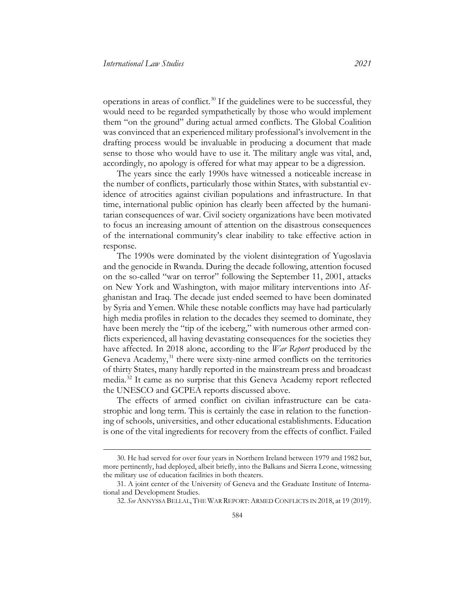operations in areas of conflict.<sup>[30](#page-12-0)</sup> If the guidelines were to be successful, they would need to be regarded sympathetically by those who would implement them "on the ground" during actual armed conflicts. The Global Coalition was convinced that an experienced military professional's involvement in the drafting process would be invaluable in producing a document that made sense to those who would have to use it. The military angle was vital, and, accordingly, no apology is offered for what may appear to be a digression.

The years since the early 1990s have witnessed a noticeable increase in the number of conflicts, particularly those within States, with substantial evidence of atrocities against civilian populations and infrastructure. In that time, international public opinion has clearly been affected by the humanitarian consequences of war. Civil society organizations have been motivated to focus an increasing amount of attention on the disastrous consequences of the international community's clear inability to take effective action in response.

The 1990s were dominated by the violent disintegration of Yugoslavia and the genocide in Rwanda. During the decade following, attention focused on the so-called "war on terror" following the September 11, 2001, attacks on New York and Washington, with major military interventions into Afghanistan and Iraq. The decade just ended seemed to have been dominated by Syria and Yemen. While these notable conflicts may have had particularly high media profiles in relation to the decades they seemed to dominate, they have been merely the "tip of the iceberg," with numerous other armed conflicts experienced, all having devastating consequences for the societies they have affected. In 2018 alone, according to the *War Report* produced by the Geneva Academy,<sup>[31](#page-12-1)</sup> there were sixty-nine armed conflicts on the territories of thirty States, many hardly reported in the mainstream press and broadcast media.[32](#page-12-2) It came as no surprise that this Geneva Academy report reflected the UNESCO and GCPEA reports discussed above.

The effects of armed conflict on civilian infrastructure can be catastrophic and long term. This is certainly the case in relation to the functioning of schools, universities, and other educational establishments. Education is one of the vital ingredients for recovery from the effects of conflict. Failed

<span id="page-12-0"></span><sup>30.</sup> He had served for over four years in Northern Ireland between 1979 and 1982 but, more pertinently, had deployed, albeit briefly, into the Balkans and Sierra Leone, witnessing the military use of education facilities in both theaters.

<span id="page-12-2"></span><span id="page-12-1"></span><sup>31.</sup> A joint center of the University of Geneva and the Graduate Institute of International and Development Studies.

<sup>32.</sup> *See* ANNYSSA BELLAL,THE WAR REPORT:ARMED CONFLICTS IN 2018, at 19 (2019).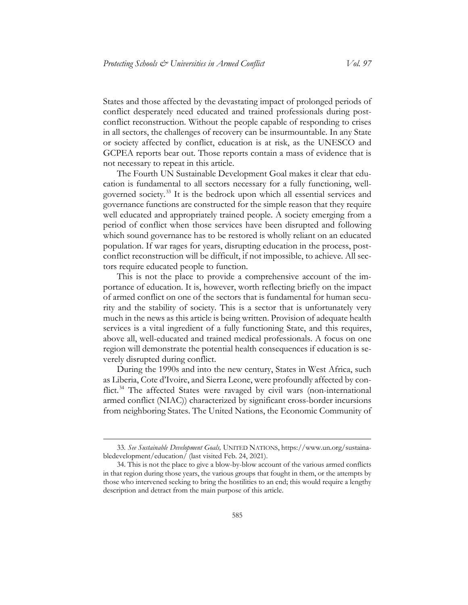States and those affected by the devastating impact of prolonged periods of conflict desperately need educated and trained professionals during postconflict reconstruction. Without the people capable of responding to crises in all sectors, the challenges of recovery can be insurmountable. In any State or society affected by conflict, education is at risk, as the UNESCO and GCPEA reports bear out. Those reports contain a mass of evidence that is not necessary to repeat in this article.

The Fourth UN Sustainable Development Goal makes it clear that education is fundamental to all sectors necessary for a fully functioning, wellgoverned society.[33](#page-13-0) It is the bedrock upon which all essential services and governance functions are constructed for the simple reason that they require well educated and appropriately trained people. A society emerging from a period of conflict when those services have been disrupted and following which sound governance has to be restored is wholly reliant on an educated population. If war rages for years, disrupting education in the process, postconflict reconstruction will be difficult, if not impossible, to achieve. All sectors require educated people to function.

This is not the place to provide a comprehensive account of the importance of education. It is, however, worth reflecting briefly on the impact of armed conflict on one of the sectors that is fundamental for human security and the stability of society. This is a sector that is unfortunately very much in the news as this article is being written. Provision of adequate health services is a vital ingredient of a fully functioning State, and this requires, above all, well-educated and trained medical professionals. A focus on one region will demonstrate the potential health consequences if education is severely disrupted during conflict.

During the 1990s and into the new century, States in West Africa, such as Liberia, Cote d'Ivoire, and Sierra Leone, were profoundly affected by con-flict.<sup>[34](#page-13-1)</sup> The affected States were ravaged by civil wars (non-international armed conflict (NIAC)) characterized by significant cross-border incursions from neighboring States. The United Nations, the Economic Community of

<span id="page-13-0"></span><sup>33.</sup> *See Sustainable Development Goals,* UNITED NATIONS, [https://www.un.org/sustaina](https://www.un.org/sustainabledevelopment/education/)[bledevelopment/education/](https://www.un.org/sustainabledevelopment/education/) (last visited Feb. 24, 2021).

<span id="page-13-1"></span><sup>34.</sup> This is not the place to give a blow-by-blow account of the various armed conflicts in that region during those years, the various groups that fought in them, or the attempts by those who intervened seeking to bring the hostilities to an end; this would require a lengthy description and detract from the main purpose of this article.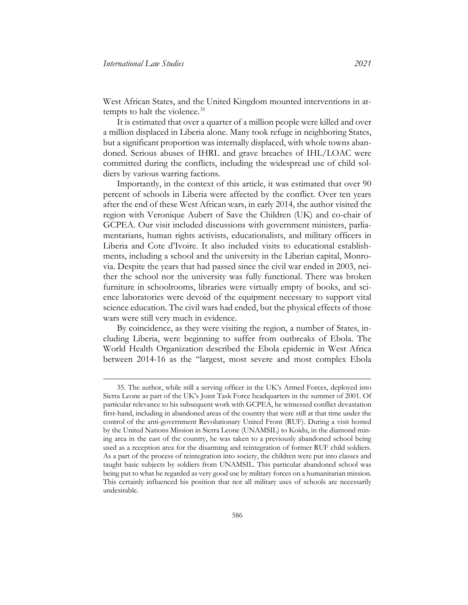<span id="page-14-1"></span>West African States, and the United Kingdom mounted interventions in at-tempts to halt the violence.<sup>[35](#page-14-0)</sup>

It is estimated that over a quarter of a million people were killed and over a million displaced in Liberia alone. Many took refuge in neighboring States, but a significant proportion was internally displaced, with whole towns abandoned. Serious abuses of IHRL and grave breaches of IHL/LOAC were committed during the conflicts, including the widespread use of child soldiers by various warring factions.

Importantly, in the context of this article, it was estimated that over 90 percent of schools in Liberia were affected by the conflict. Over ten years after the end of these West African wars, in early 2014, the author visited the region with Veronique Aubert of Save the Children (UK) and co-chair of GCPEA. Our visit included discussions with government ministers, parliamentarians, human rights activists, educationalists, and military officers in Liberia and Cote d'Ivoire. It also included visits to educational establishments, including a school and the university in the Liberian capital, Monrovia. Despite the years that had passed since the civil war ended in 2003, neither the school nor the university was fully functional. There was broken furniture in schoolrooms, libraries were virtually empty of books, and science laboratories were devoid of the equipment necessary to support vital science education. The civil wars had ended, but the physical effects of those wars were still very much in evidence.

By coincidence, as they were visiting the region, a number of States, including Liberia, were beginning to suffer from outbreaks of Ebola. The World Health Organization described the Ebola epidemic in West Africa between 2014-16 as the "largest, most severe and most complex Ebola

<span id="page-14-0"></span><sup>35.</sup> The author, while still a serving officer in the UK's Armed Forces, deployed into Sierra Leone as part of the UK's Joint Task Force headquarters in the summer of 2001. Of particular relevance to his subsequent work with GCPEA, he witnessed conflict devastation first-hand, including in abandoned areas of the country that were still at that time under the control of the anti-government Revolutionary United Front (RUF). During a visit hosted by the United Nations Mission in Sierra Leone (UNAMSIL) to Koidu, in the diamond mining area in the east of the country, he was taken to a previously abandoned school being used as a reception area for the disarming and reintegration of former RUF child soldiers. As a part of the process of reintegration into society, the children were put into classes and taught basic subjects by soldiers from UNAMSIL. This particular abandoned school was being put to what he regarded as very good use by military forces on a humanitarian mission. This certainly influenced his position that not all military uses of schools are necessarily undesirable.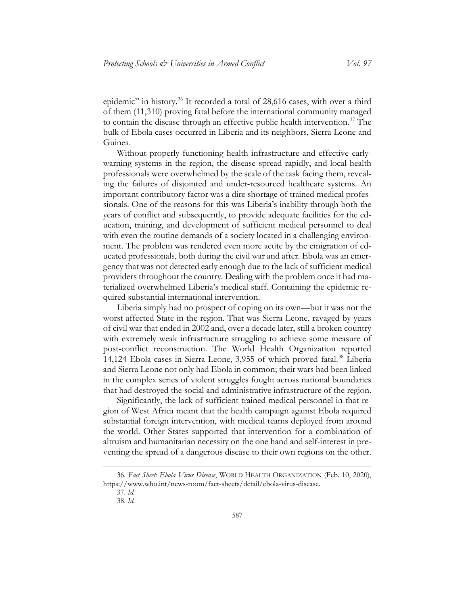epidemic" in history.[36](#page-15-0) It recorded a total of 28,616 cases, with over a third of them (11,310) proving fatal before the international community managed to contain the disease through an effective public health intervention.<sup>[37](#page-15-1)</sup> The bulk of Ebola cases occurred in Liberia and its neighbors, Sierra Leone and Guinea.

Without properly functioning health infrastructure and effective earlywarning systems in the region, the disease spread rapidly, and local health professionals were overwhelmed by the scale of the task facing them, revealing the failures of disjointed and under-resourced healthcare systems. An important contributory factor was a dire shortage of trained medical professionals. One of the reasons for this was Liberia's inability through both the years of conflict and subsequently, to provide adequate facilities for the education, training, and development of sufficient medical personnel to deal with even the routine demands of a society located in a challenging environment. The problem was rendered even more acute by the emigration of educated professionals, both during the civil war and after. Ebola was an emergency that was not detected early enough due to the lack of sufficient medical providers throughout the country. Dealing with the problem once it had materialized overwhelmed Liberia's medical staff. Containing the epidemic required substantial international intervention.

Liberia simply had no prospect of coping on its own—but it was not the worst affected State in the region. That was Sierra Leone, ravaged by years of civil war that ended in 2002 and, over a decade later, still a broken country with extremely weak infrastructure struggling to achieve some measure of post-conflict reconstruction. The World Health Organization reported 14,124 Ebola cases in Sierra Leone, 3,955 of which proved fatal.[38](#page-15-2) Liberia and Sierra Leone not only had Ebola in common; their wars had been linked in the complex series of violent struggles fought across national boundaries that had destroyed the social and administrative infrastructure of the region.

Significantly, the lack of sufficient trained medical personnel in that region of West Africa meant that the health campaign against Ebola required substantial foreign intervention, with medical teams deployed from around the world. Other States supported that intervention for a combination of altruism and humanitarian necessity on the one hand and self-interest in preventing the spread of a dangerous disease to their own regions on the other.

<span id="page-15-2"></span><span id="page-15-1"></span><span id="page-15-0"></span><sup>36.</sup> *Fact Sheet: Ebola Virus Disease*, WORLD HEALTH ORGANIZATION (Feb. 10, 2020), [https://www.who.int/news-room/fact-sheets/detail/ebola-virus-disease.](https://www.who.int/news-room/fact-sheets/detail/ebola-virus-disease)

<sup>37.</sup> *Id.*

<sup>38.</sup> *Id.*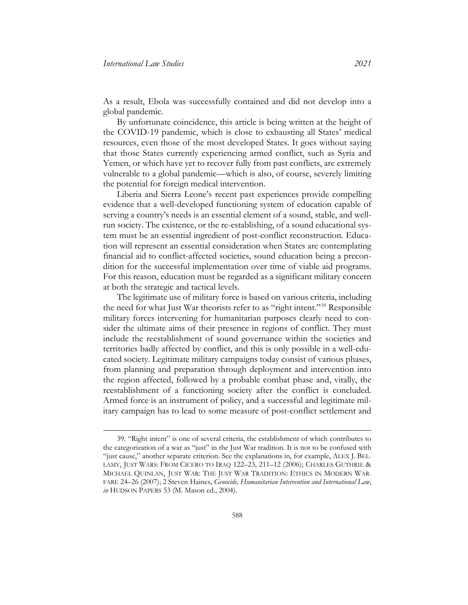As a result, Ebola was successfully contained and did not develop into a global pandemic.

By unfortunate coincidence, this article is being written at the height of the COVID-19 pandemic, which is close to exhausting all States' medical resources, even those of the most developed States. It goes without saying that those States currently experiencing armed conflict, such as Syria and Yemen, or which have yet to recover fully from past conflicts, are extremely vulnerable to a global pandemic—which is also, of course, severely limiting the potential for foreign medical intervention.

Liberia and Sierra Leone's recent past experiences provide compelling evidence that a well-developed functioning system of education capable of serving a country's needs is an essential element of a sound, stable, and wellrun society. The existence, or the re-establishing, of a sound educational system must be an essential ingredient of post-conflict reconstruction. Education will represent an essential consideration when States are contemplating financial aid to conflict-affected societies, sound education being a precondition for the successful implementation over time of viable aid programs. For this reason, education must be regarded as a significant military concern at both the strategic and tactical levels.

The legitimate use of military force is based on various criteria, including the need for what Just War theorists refer to as "right intent."[39](#page-16-0) Responsible military forces intervening for humanitarian purposes clearly need to consider the ultimate aims of their presence in regions of conflict. They must include the reestablishment of sound governance within the societies and territories badly affected by conflict, and this is only possible in a well-educated society. Legitimate military campaigns today consist of various phases, from planning and preparation through deployment and intervention into the region affected, followed by a probable combat phase and, vitally, the reestablishment of a functioning society after the conflict is concluded. Armed force is an instrument of policy, and a successful and legitimate military campaign has to lead to some measure of post-conflict settlement and

<span id="page-16-0"></span><sup>39. &</sup>quot;Right intent" is one of several criteria, the establishment of which contributes to the categorization of a war as "just" in the Just War tradition. It is not to be confused with "just cause," another separate criterion. See the explanations in, for example, ALEX J. BEL-LAMY, JUST WARS: FROM CICERO TO IRAQ 122–23, 211–12 (2006); CHARLES GUTHRIE & MICHAEL QUINLAN, JUST WAR: THE JUST WAR TRADITION: ETHICS IN MODERN WAR-FARE 24–26 (2007); 2 Steven Haines, *Genocide, Humanitarian Intervention and International Law*, *in* HUDSON PAPERS 53 (M. Mason ed., 2004).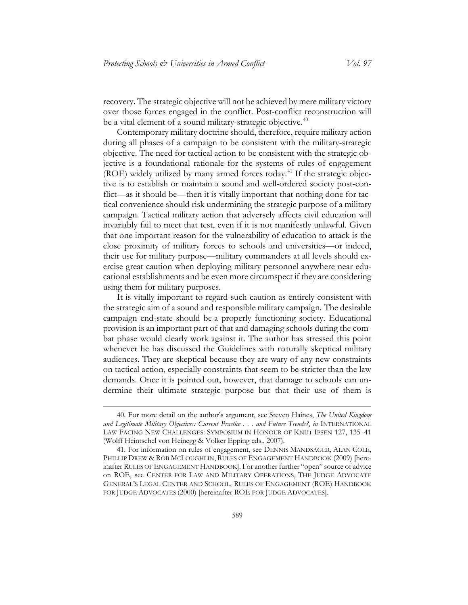recovery. The strategic objective will not be achieved by mere military victory over those forces engaged in the conflict. Post-conflict reconstruction will be a vital element of a sound military-strategic objective.<sup>[40](#page-17-0)</sup>

<span id="page-17-2"></span>Contemporary military doctrine should, therefore, require military action during all phases of a campaign to be consistent with the military-strategic objective. The need for tactical action to be consistent with the strategic objective is a foundational rationale for the systems of rules of engagement (ROE) widely utilized by many armed forces today.<sup>[41](#page-17-1)</sup> If the strategic objective is to establish or maintain a sound and well-ordered society post-conflict—as it should be—then it is vitally important that nothing done for tactical convenience should risk undermining the strategic purpose of a military campaign. Tactical military action that adversely affects civil education will invariably fail to meet that test, even if it is not manifestly unlawful. Given that one important reason for the vulnerability of education to attack is the close proximity of military forces to schools and universities—or indeed, their use for military purpose—military commanders at all levels should exercise great caution when deploying military personnel anywhere near educational establishments and be even more circumspect if they are considering using them for military purposes.

It is vitally important to regard such caution as entirely consistent with the strategic aim of a sound and responsible military campaign. The desirable campaign end-state should be a properly functioning society. Educational provision is an important part of that and damaging schools during the combat phase would clearly work against it. The author has stressed this point whenever he has discussed the Guidelines with naturally skeptical military audiences. They are skeptical because they are wary of any new constraints on tactical action, especially constraints that seem to be stricter than the law demands. Once it is pointed out, however, that damage to schools can undermine their ultimate strategic purpose but that their use of them is

<span id="page-17-0"></span><sup>40.</sup> For more detail on the author's argument, see Steven Haines, *The United Kingdom and Legitimate Military Objectives: Current Practice . . . and Future Trends?*, *in* INTERNATIONAL LAW FACING NEW CHALLENGES: SYMPOSIUM IN HONOUR OF KNUT IPSEN 127, 135–41 (Wolff Heintschel von Heinegg & Volker Epping eds., 2007).

<span id="page-17-1"></span><sup>41.</sup> For information on rules of engagement, see DENNIS MANDSAGER, ALAN COLE, PHILLIP DREW & ROB MCLOUGHLIN, RULES OF ENGAGEMENT HANDBOOK (2009) [hereinafter RULES OF ENGAGEMENT HANDBOOK]. For another further "open" source of advice on ROE, see CENTER FOR LAW AND MILITARY OPERATIONS, THE JUDGE ADVOCATE GENERAL'S LEGAL CENTER AND SCHOOL, RULES OF ENGAGEMENT (ROE) HANDBOOK FOR JUDGE ADVOCATES (2000) [hereinafter ROE FOR JUDGE ADVOCATES].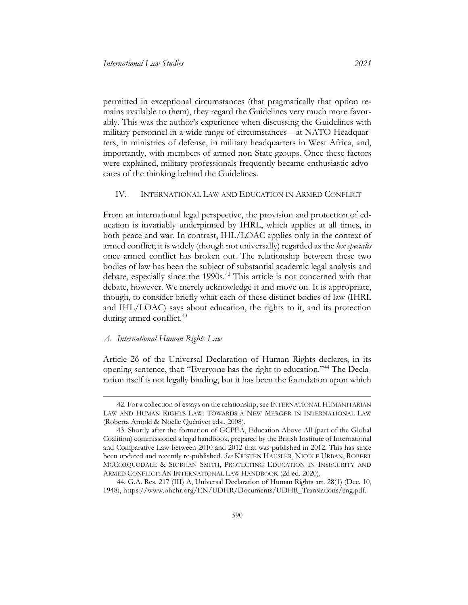permitted in exceptional circumstances (that pragmatically that option remains available to them), they regard the Guidelines very much more favorably. This was the author's experience when discussing the Guidelines with military personnel in a wide range of circumstances—at NATO Headquarters, in ministries of defense, in military headquarters in West Africa, and, importantly, with members of armed non-State groups. Once these factors were explained, military professionals frequently became enthusiastic advocates of the thinking behind the Guidelines.

#### <span id="page-18-0"></span>IV. INTERNATIONAL LAW AND EDUCATION IN ARMED CONFLICT

From an international legal perspective, the provision and protection of education is invariably underpinned by IHRL, which applies at all times, in both peace and war. In contrast, IHL/LOAC applies only in the context of armed conflict; it is widely (though not universally) regarded as the *lex specialis* once armed conflict has broken out. The relationship between these two bodies of law has been the subject of substantial academic legal analysis and debate, especially since the 1990s.[42](#page-18-2) This article is not concerned with that debate, however. We merely acknowledge it and move on. It is appropriate, though, to consider briefly what each of these distinct bodies of law (IHRL and IHL/LOAC) says about education, the rights to it, and its protection during armed conflict.<sup>[43](#page-18-3)</sup>

#### <span id="page-18-1"></span>*A. International Human Rights Law*

 $\overline{a}$ 

Article 26 of the Universal Declaration of Human Rights declares, in its opening sentence, that: "Everyone has the right to education."[44](#page-18-4) The Declaration itself is not legally binding, but it has been the foundation upon which

<span id="page-18-2"></span><sup>42.</sup> For a collection of essays on the relationship, see INTERNATIONAL HUMANITARIAN LAW AND HUMAN RIGHTS LAW: TOWARDS A NEW MERGER IN INTERNATIONAL LAW (Roberta Arnold & Noelle Quénivet eds., 2008).

<span id="page-18-3"></span><sup>43.</sup> Shortly after the formation of GCPEA, Education Above All (part of the Global Coalition) commissioned a legal handbook, prepared by the British Institute of International and Comparative Law between 2010 and 2012 that was published in 2012. This has since been updated and recently re-published. *See* KRISTEN HAUSLER, NICOLE URBAN, ROBERT MCCORQUODALE & SIOBHAN SMITH, PROTECTING EDUCATION IN INSECURITY AND ARMED CONFLICT: AN INTERNATIONAL LAW HANDBOOK (2d ed. 2020).

<span id="page-18-4"></span><sup>44.</sup> G.A. Res. 217 (III) A, Universal Declaration of Human Rights art. 28(1) (Dec. 10, 1948), [https://www.ohchr.org/EN/UDHR/Documents/UDHR\\_Translations/eng.pdf.](https://www.ohchr.org/EN/UDHR/Documents/UDHR_Translations/eng.pdf)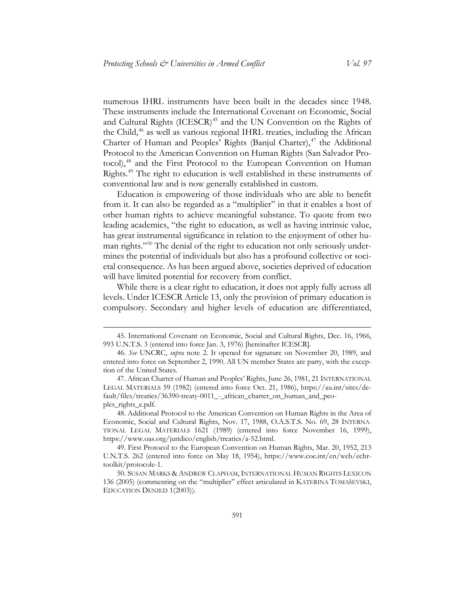<span id="page-19-6"></span>numerous IHRL instruments have been built in the decades since 1948. These instruments include the International Covenant on Economic, Social and Cultural Rights (ICESCR) [45](#page-19-0) and the UN Convention on the Rights of the Child, [46](#page-19-1) as well as various regional IHRL treaties, including the African Charter of Human and Peoples' Rights (Banjul Charter), [47](#page-19-2) the Additional Protocol to the American Convention on Human Rights (San Salvador Protocol), [48](#page-19-3) and the First Protocol to the European Convention on Human Rights. [49](#page-19-4) The right to education is well established in these instruments of conventional law and is now generally established in custom.

Education is empowering of those individuals who are able to benefit from it. It can also be regarded as a "multiplier" in that it enables a host of other human rights to achieve meaningful substance. To quote from two leading academics, "the right to education, as well as having intrinsic value, has great instrumental significance in relation to the enjoyment of other human rights."[50](#page-19-5) The denial of the right to education not only seriously undermines the potential of individuals but also has a profound collective or societal consequence. As has been argued above, societies deprived of education will have limited potential for recovery from conflict.

While there is a clear right to education, it does not apply fully across all levels. Under ICESCR Article 13, only the provision of primary education is compulsory. Secondary and higher levels of education are differentiated,

<span id="page-19-0"></span><sup>45.</sup> International Covenant on Economic, Social and Cultural Rights, Dec. 16, 1966, 993 U.N.T.S. 3 (entered into force Jan. 3, 1976) [hereinafter ICESCR].

<span id="page-19-1"></span><sup>46.</sup> *See* UNCRC, *supra* note [2.](#page-2-8) It opened for signature on November 20, 1989, and entered into force on September 2, 1990. All UN member States are party, with the exception of the United States.

<span id="page-19-2"></span><sup>47.</sup> African Charter of Human and Peoples' Rights, June 26, 1981, 21 INTERNATIONAL LEGAL MATERIALS 59 (1982) (entered into force Oct. 21, 1986), [https://au.int/sites/de](https://au.int/sites/default/files/treaties/36390-treaty-0011_-_african_charter_on_human_and_peoples_rights_e.pdf)[fault/files/treaties/36390-treaty-0011\\_-\\_african\\_charter\\_on\\_human\\_and\\_peo](https://au.int/sites/default/files/treaties/36390-treaty-0011_-_african_charter_on_human_and_peoples_rights_e.pdf)[ples\\_rights\\_e.pdf.](https://au.int/sites/default/files/treaties/36390-treaty-0011_-_african_charter_on_human_and_peoples_rights_e.pdf)

<span id="page-19-3"></span><sup>48.</sup> Additional Protocol to the American Convention on Human Rights in the Area of Economic, Social and Cultural Rights, Nov. 17, 1988, O.A.S.T.S. No. 69, 28 INTERNA-TIONAL LEGAL MATERIALS 1621 (1989) (entered into force November 16, 1999), [https://www.oas.org/juridico/english/treaties/a-52.html.](https://www.oas.org/juridico/english/treaties/a-52.html)

<span id="page-19-4"></span><sup>49.</sup> First Protocol to the European Convention on Human Rights, Mar. 20, 1952, 213 U.N.T.S. 262 (entered into force on May 18, 1954), [https://www.coe.int/en/web/echr](https://www.coe.int/en/web/echr-toolkit/protocole-1)[toolkit/protocole-1.](https://www.coe.int/en/web/echr-toolkit/protocole-1)

<span id="page-19-5"></span><sup>50.</sup> SUSAN MARKS & ANDREW CLAPHAM, INTERNATIONAL HUMAN RIGHTS LEXICON 136 (2005) (commenting on the "multiplier" effect articulated in KATERINA TOMAŠEVSKI, EDUCATION DENIED 1(2003)).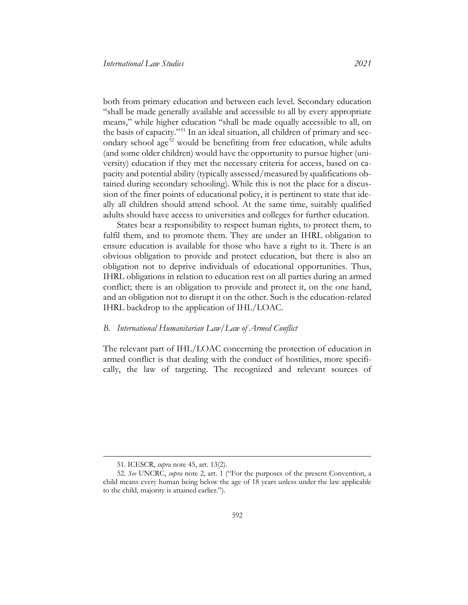both from primary education and between each level. Secondary education "shall be made generally available and accessible to all by every appropriate means," while higher education "shall be made equally accessible to all, on the basis of capacity."[51](#page-20-1) In an ideal situation, all children of primary and sec-ondary school age<sup>[52](#page-20-2)</sup> would be benefiting from free education, while adults (and some older children) would have the opportunity to pursue higher (university) education if they met the necessary criteria for access, based on capacity and potential ability (typically assessed/measured by qualifications obtained during secondary schooling). While this is not the place for a discussion of the finer points of educational policy, it is pertinent to state that ideally all children should attend school. At the same time, suitably qualified adults should have access to universities and colleges for further education.

States bear a responsibility to respect human rights, to protect them, to fulfil them, and to promote them. They are under an IHRL obligation to ensure education is available for those who have a right to it. There is an obvious obligation to provide and protect education, but there is also an obligation not to deprive individuals of educational opportunities. Thus, IHRL obligations in relation to education rest on all parties during an armed conflict; there is an obligation to provide and protect it, on the one hand, and an obligation not to disrupt it on the other. Such is the education-related IHRL backdrop to the application of IHL/LOAC.

#### <span id="page-20-0"></span>*B. International Humanitarian Law/Law of Armed Conflict*

The relevant part of IHL/LOAC concerning the protection of education in armed conflict is that dealing with the conduct of hostilities, more specifically, the law of targeting. The recognized and relevant sources of

<sup>51.</sup> ICESCR, *supra* note [45,](#page-19-6) art. 13(2).

<span id="page-20-2"></span><span id="page-20-1"></span><sup>52.</sup> *See* UNCRC, *supra* note [2,](#page-2-8) art. 1 ("For the purposes of the present Convention, a child means every human being below the age of 18 years unless under the law applicable to the child, majority is attained earlier.").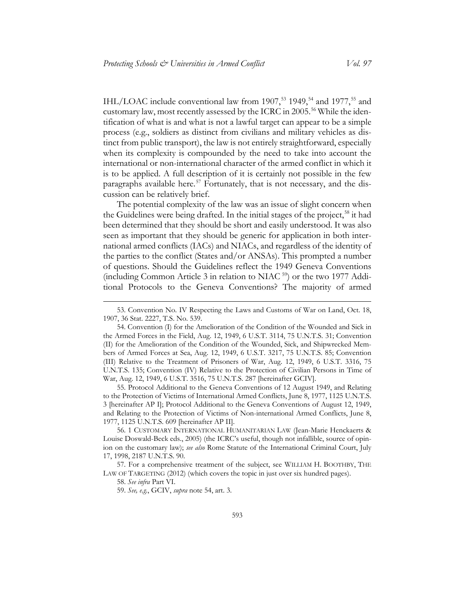<span id="page-21-8"></span><span id="page-21-0"></span>IHL/LOAC include conventional law from 1907,<sup>[53](#page-21-1)</sup> 1949,<sup>[54](#page-21-2)</sup> and 1977,<sup>[55](#page-21-3)</sup> and customary law, most recently assessed by the ICRC in 2005.<sup>[56](#page-21-4)</sup> While the identification of what is and what is not a lawful target can appear to be a simple process (e.g., soldiers as distinct from civilians and military vehicles as distinct from public transport), the law is not entirely straightforward, especially when its complexity is compounded by the need to take into account the international or non-international character of the armed conflict in which it is to be applied. A full description of it is certainly not possible in the few paragraphs available here.<sup>[57](#page-21-5)</sup> Fortunately, that is not necessary, and the discussion can be relatively brief.

The potential complexity of the law was an issue of slight concern when the Guidelines were being drafted. In the initial stages of the project,<sup>[58](#page-21-6)</sup> it had been determined that they should be short and easily understood. It was also seen as important that they should be generic for application in both international armed conflicts (IACs) and NIACs, and regardless of the identity of the parties to the conflict (States and/or ANSAs). This prompted a number of questions. Should the Guidelines reflect the 1949 Geneva Conventions (including Common Article 3 in relation to NIAC [59\)](#page-21-7) or the two 1977 Additional Protocols to the Geneva Conventions? The majority of armed

<span id="page-21-3"></span>55. Protocol Additional to the Geneva Conventions of 12 August 1949, and Relating to the Protection of Victims of International Armed Conflicts, June 8, 1977, 1125 U.N.T.S. 3 [hereinafter AP I]; Protocol Additional to the Geneva Conventions of August 12, 1949, and Relating to the Protection of Victims of Non-international Armed Conflicts, June 8, 1977, 1125 U.N.T.S. 609 [hereinafter AP II].

<span id="page-21-4"></span>56. 1 CUSTOMARY INTERNATIONAL HUMANITARIAN LAW (Jean-Marie Henckaerts & Louise Doswald-Beck eds., 2005) (the ICRC's useful, though not infallible, source of opinion on the customary law); *see also* Rome Statute of the International Criminal Court, July 17, 1998, 2187 U.N.T.S. 90.

<span id="page-21-7"></span><span id="page-21-6"></span><span id="page-21-5"></span>57. For a comprehensive treatment of the subject, see WILLIAM H. BOOTHBY, THE LAW OF TARGETING (2012) (which covers the topic in just over six hundred pages).

 $\overline{a}$ 

59. *See, e.g.*, GCIV, *supra* note [54,](#page-21-0) art. 3.

<span id="page-21-1"></span><sup>53.</sup> Convention No. IV Respecting the Laws and Customs of War on Land, Oct. 18, 1907, 36 Stat. 2227, T.S. No. 539.

<span id="page-21-2"></span><sup>54.</sup> Convention (I) for the Amelioration of the Condition of the Wounded and Sick in the Armed Forces in the Field, Aug. 12, 1949, 6 U.S.T. 3114, 75 U.N.T.S. 31; Convention (II) for the Amelioration of the Condition of the Wounded, Sick, and Shipwrecked Members of Armed Forces at Sea, Aug. 12, 1949, 6 U.S.T. 3217, 75 U.N.T.S. 85; Convention (III) Relative to the Treatment of Prisoners of War, Aug. 12, 1949, 6 U.S.T. 3316, 75 U.N.T.S. 135; Convention (IV) Relative to the Protection of Civilian Persons in Time of War, Aug. 12, 1949, 6 U.S.T. 3516, 75 U.N.T.S. 287 [hereinafter GCIV].

<sup>58.</sup> *See infra* Part VI.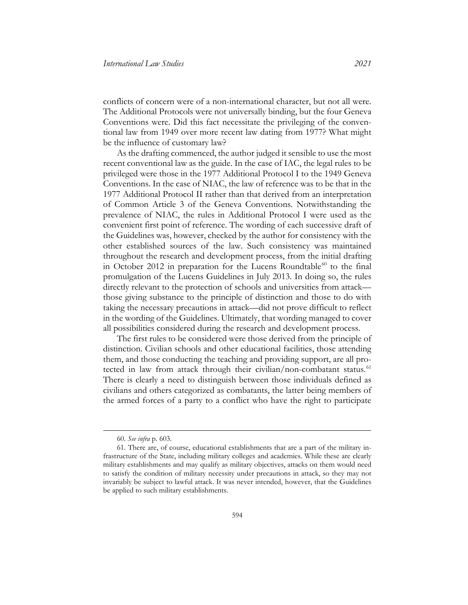conflicts of concern were of a non-international character, but not all were. The Additional Protocols were not universally binding, but the four Geneva Conventions were. Did this fact necessitate the privileging of the conventional law from 1949 over more recent law dating from 1977? What might be the influence of customary law?

As the drafting commenced, the author judged it sensible to use the most recent conventional law as the guide. In the case of IAC, the legal rules to be privileged were those in the 1977 Additional Protocol I to the 1949 Geneva Conventions. In the case of NIAC, the law of reference was to be that in the 1977 Additional Protocol II rather than that derived from an interpretation of Common Article 3 of the Geneva Conventions. Notwithstanding the prevalence of NIAC, the rules in Additional Protocol I were used as the convenient first point of reference. The wording of each successive draft of the Guidelines was, however, checked by the author for consistency with the other established sources of the law. Such consistency was maintained throughout the research and development process, from the initial drafting in October 2012 in preparation for the Lucens Roundtable $^{60}$  $^{60}$  $^{60}$  to the final promulgation of the Lucens Guidelines in July 2013. In doing so, the rules directly relevant to the protection of schools and universities from attack those giving substance to the principle of distinction and those to do with taking the necessary precautions in attack—did not prove difficult to reflect in the wording of the Guidelines. Ultimately, that wording managed to cover all possibilities considered during the research and development process.

The first rules to be considered were those derived from the principle of distinction. Civilian schools and other educational facilities, those attending them, and those conducting the teaching and providing support, are all pro-tected in law from attack through their civilian/non-combatant status.<sup>[61](#page-22-1)</sup> There is clearly a need to distinguish between those individuals defined as civilians and others categorized as combatants, the latter being members of the armed forces of a party to a conflict who have the right to participate

<sup>60.</sup> *See infra* p. 603.

<span id="page-22-1"></span><span id="page-22-0"></span><sup>61.</sup> There are, of course, educational establishments that are a part of the military infrastructure of the State, including military colleges and academies. While these are clearly military establishments and may qualify as military objectives, attacks on them would need to satisfy the condition of military necessity under precautions in attack, so they may not invariably be subject to lawful attack. It was never intended, however, that the Guidelines be applied to such military establishments.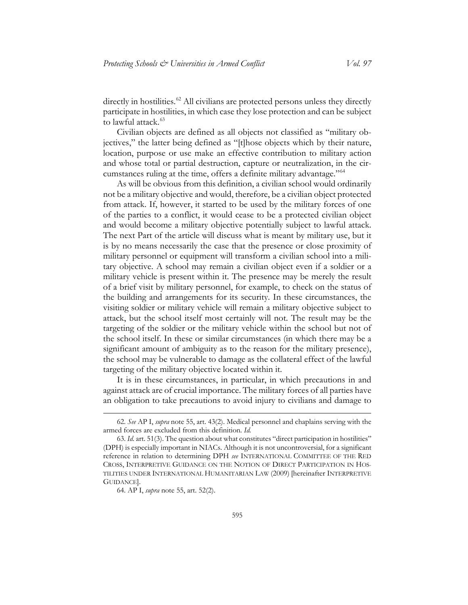$\alpha$  directly in hostilities.<sup>[62](#page-23-0)</sup> All civilians are protected persons unless they directly participate in hostilities, in which case they lose protection and can be subject to lawful attack.<sup>[63](#page-23-1)</sup>

<span id="page-23-3"></span>Civilian objects are defined as all objects not classified as "military objectives," the latter being defined as "[t]hose objects which by their nature, location, purpose or use make an effective contribution to military action and whose total or partial destruction, capture or neutralization, in the circumstances ruling at the time, offers a definite military advantage."[64](#page-23-2)

As will be obvious from this definition, a civilian school would ordinarily not be a military objective and would, therefore, be a civilian object protected from attack. If, however, it started to be used by the military forces of one of the parties to a conflict, it would cease to be a protected civilian object and would become a military objective potentially subject to lawful attack. The next Part of the article will discuss what is meant by military use, but it is by no means necessarily the case that the presence or close proximity of military personnel or equipment will transform a civilian school into a military objective. A school may remain a civilian object even if a soldier or a military vehicle is present within it. The presence may be merely the result of a brief visit by military personnel, for example, to check on the status of the building and arrangements for its security. In these circumstances, the visiting soldier or military vehicle will remain a military objective subject to attack, but the school itself most certainly will not. The result may be the targeting of the soldier or the military vehicle within the school but not of the school itself. In these or similar circumstances (in which there may be a significant amount of ambiguity as to the reason for the military presence), the school may be vulnerable to damage as the collateral effect of the lawful targeting of the military objective located within it.

It is in these circumstances, in particular, in which precautions in and against attack are of crucial importance. The military forces of all parties have an obligation to take precautions to avoid injury to civilians and damage to

<span id="page-23-0"></span><sup>62.</sup> *See* AP I, *supra* note [55,](#page-21-8) art. 43(2). Medical personnel and chaplains serving with the armed forces are excluded from this definition. *Id.*

<span id="page-23-2"></span><span id="page-23-1"></span><sup>63.</sup> *Id.* art. 51(3). The question about what constitutes "direct participation in hostilities" (DPH) is especially important in NIACs. Although it is not uncontroversial, for a significant reference in relation to determining DPH *see* INTERNATIONAL COMMITTEE OF THE RED CROSS, INTERPRETIVE GUIDANCE ON THE NOTION OF DIRECT PARTICIPATION IN HOS-TILITIES UNDER INTERNATIONAL HUMANITARIAN LAW (2009) [hereinafter INTERPRETIVE GUIDANCE].

<sup>64.</sup> AP I, *supra* note [55,](#page-21-8) art. 52(2).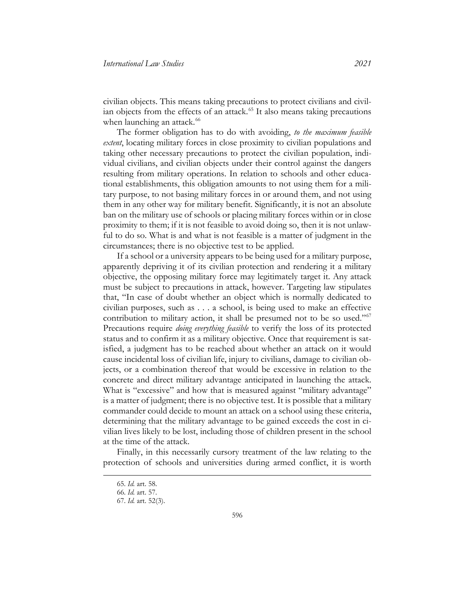civilian objects. This means taking precautions to protect civilians and civil-ian objects from the effects of an attack.<sup>[65](#page-24-0)</sup> It also means taking precautions when launching an attack.<sup>[66](#page-24-1)</sup>

The former obligation has to do with avoiding, *to the maximum feasible extent*, locating military forces in close proximity to civilian populations and taking other necessary precautions to protect the civilian population, individual civilians, and civilian objects under their control against the dangers resulting from military operations. In relation to schools and other educational establishments, this obligation amounts to not using them for a military purpose, to not basing military forces in or around them, and not using them in any other way for military benefit. Significantly, it is not an absolute ban on the military use of schools or placing military forces within or in close proximity to them; if it is not feasible to avoid doing so, then it is not unlawful to do so. What is and what is not feasible is a matter of judgment in the circumstances; there is no objective test to be applied.

If a school or a university appears to be being used for a military purpose, apparently depriving it of its civilian protection and rendering it a military objective, the opposing military force may legitimately target it. Any attack must be subject to precautions in attack, however. Targeting law stipulates that, "In case of doubt whether an object which is normally dedicated to civilian purposes, such as . . . a school, is being used to make an effective contribution to military action, it shall be presumed not to be so used."<sup>[67](#page-24-2)</sup> Precautions require *doing everything feasible* to verify the loss of its protected status and to confirm it as a military objective. Once that requirement is satisfied, a judgment has to be reached about whether an attack on it would cause incidental loss of civilian life, injury to civilians, damage to civilian objects, or a combination thereof that would be excessive in relation to the concrete and direct military advantage anticipated in launching the attack. What is "excessive" and how that is measured against "military advantage" is a matter of judgment; there is no objective test. It is possible that a military commander could decide to mount an attack on a school using these criteria, determining that the military advantage to be gained exceeds the cost in civilian lives likely to be lost, including those of children present in the school at the time of the attack.

<span id="page-24-2"></span><span id="page-24-1"></span><span id="page-24-0"></span>Finally, in this necessarily cursory treatment of the law relating to the protection of schools and universities during armed conflict, it is worth

<sup>65.</sup> *Id.* art. 58.

<sup>66.</sup> *Id.* art. 57.

<sup>67.</sup> *Id.* art. 52(3).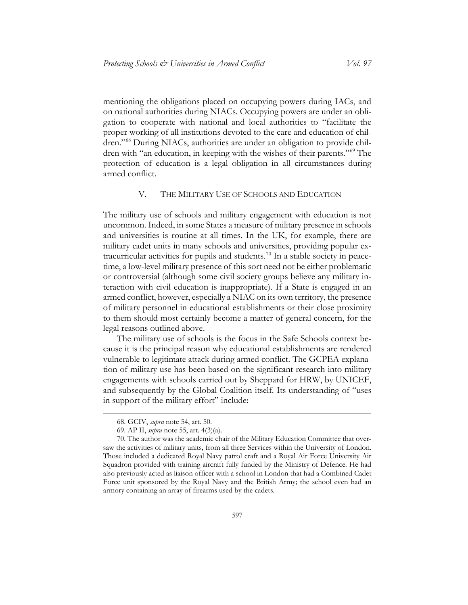mentioning the obligations placed on occupying powers during IACs, and on national authorities during NIACs. Occupying powers are under an obligation to cooperate with national and local authorities to "facilitate the proper working of all institutions devoted to the care and education of children."[68](#page-25-1) During NIACs, authorities are under an obligation to provide children with "an education, in keeping with the wishes of their parents."[69](#page-25-2) The protection of education is a legal obligation in all circumstances during armed conflict.

#### V. THE MILITARY USE OF SCHOOLS AND EDUCATION

<span id="page-25-0"></span>The military use of schools and military engagement with education is not uncommon. Indeed, in some States a measure of military presence in schools and universities is routine at all times. In the UK, for example, there are military cadet units in many schools and universities, providing popular ex-tracurricular activities for pupils and students.<sup>[70](#page-25-3)</sup> In a stable society in peacetime, a low-level military presence of this sort need not be either problematic or controversial (although some civil society groups believe any military interaction with civil education is inappropriate). If a State is engaged in an armed conflict, however, especially a NIAC on its own territory, the presence of military personnel in educational establishments or their close proximity to them should most certainly become a matter of general concern, for the legal reasons outlined above.

The military use of schools is the focus in the Safe Schools context because it is the principal reason why educational establishments are rendered vulnerable to legitimate attack during armed conflict. The GCPEA explanation of military use has been based on the significant research into military engagements with schools carried out by Sheppard for HRW, by UNICEF, and subsequently by the Global Coalition itself. Its understanding of "uses in support of the military effort" include:

<sup>68.</sup> GCIV, *supra* not[e 54,](#page-21-0) art. 50.

<sup>69.</sup> AP II, *supra* note [55,](#page-21-8) art. 4(3)(a).

<span id="page-25-3"></span><span id="page-25-2"></span><span id="page-25-1"></span><sup>70.</sup> The author was the academic chair of the Military Education Committee that oversaw the activities of military units, from all three Services within the University of London. Those included a dedicated Royal Navy patrol craft and a Royal Air Force University Air Squadron provided with training aircraft fully funded by the Ministry of Defence. He had also previously acted as liaison officer with a school in London that had a Combined Cadet Force unit sponsored by the Royal Navy and the British Army; the school even had an armory containing an array of firearms used by the cadets.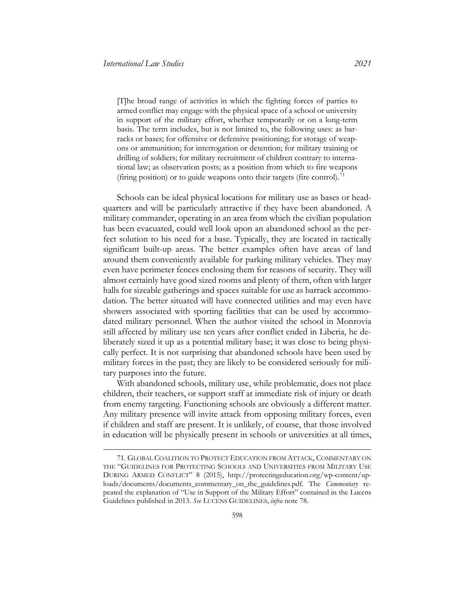[T]he broad range of activities in which the fighting forces of parties to armed conflict may engage with the physical space of a school or university in support of the military effort, whether temporarily or on a long-term basis. The term includes, but is not limited to, the following uses: as barracks or bases; for offensive or defensive positioning; for storage of weapons or ammunition; for interrogation or detention; for military training or drilling of soldiers; for military recruitment of children contrary to international law; as observation posts; as a position from which to fire weapons (firing position) or to guide weapons onto their targets (fire control).<sup>[71](#page-26-0)</sup>

Schools can be ideal physical locations for military use as bases or headquarters and will be particularly attractive if they have been abandoned. A military commander, operating in an area from which the civilian population has been evacuated, could well look upon an abandoned school as the perfect solution to his need for a base. Typically, they are located in tactically significant built-up areas. The better examples often have areas of land around them conveniently available for parking military vehicles. They may even have perimeter fences enclosing them for reasons of security. They will almost certainly have good sized rooms and plenty of them, often with larger halls for sizeable gatherings and spaces suitable for use as barrack accommodation. The better situated will have connected utilities and may even have showers associated with sporting facilities that can be used by accommodated military personnel. When the author visited the school in Monrovia still affected by military use ten years after conflict ended in Liberia, he deliberately sized it up as a potential military base; it was close to being physically perfect. It is not surprising that abandoned schools have been used by military forces in the past; they are likely to be considered seriously for military purposes into the future.

With abandoned schools, military use, while problematic, does not place children, their teachers, or support staff at immediate risk of injury or death from enemy targeting. Functioning schools are obviously a different matter. Any military presence will invite attack from opposing military forces, even if children and staff are present. It is unlikely, of course, that those involved in education will be physically present in schools or universities at all times,

<span id="page-26-0"></span><sup>71.</sup> GLOBAL COALITION TO PROTECT EDUCATION FROM ATTACK, COMMENTARY ON THE "GUIDELINES FOR PROTECTING SCHOOLS AND UNIVERSITIES FROM MILITARY USE DURING ARMED CONFLICT" 8 (2015), [http://protectingeducation.org/wp-content/up](http://protectingeducation.org/wp-content/uploads/documents/documents_commentary_on_the_guidelines.pdf)[loads/documents/documents\\_commentary\\_on\\_the\\_guidelines.pdf.](http://protectingeducation.org/wp-content/uploads/documents/documents_commentary_on_the_guidelines.pdf) The *Commentary* repeated the explanation of "Use in Support of the Military Effort" contained in the Lucens Guidelines published in 2013. *See* LUCENS GUIDELINES, *infra* note 78.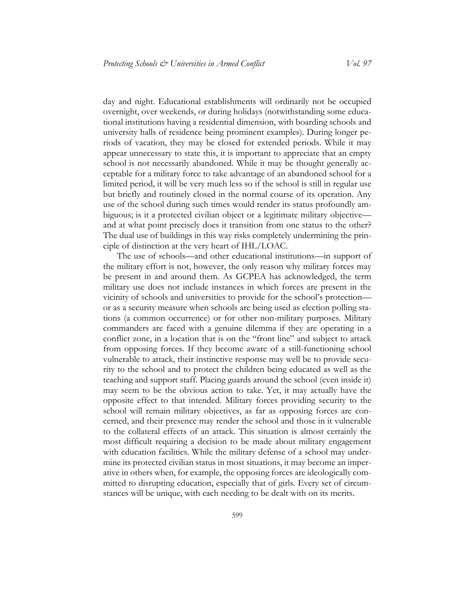day and night. Educational establishments will ordinarily not be occupied overnight, over weekends, or during holidays (notwithstanding some educational institutions having a residential dimension, with boarding schools and university halls of residence being prominent examples). During longer periods of vacation, they may be closed for extended periods. While it may appear unnecessary to state this, it is important to appreciate that an empty school is not necessarily abandoned. While it may be thought generally acceptable for a military force to take advantage of an abandoned school for a limited period, it will be very much less so if the school is still in regular use but briefly and routinely closed in the normal course of its operation. Any use of the school during such times would render its status profoundly ambiguous; is it a protected civilian object or a legitimate military objective and at what point precisely does it transition from one status to the other? The dual use of buildings in this way risks completely undermining the principle of distinction at the very heart of IHL/LOAC.

The use of schools—and other educational institutions—in support of the military effort is not, however, the only reason why military forces may be present in and around them. As GCPEA has acknowledged, the term military use does not include instances in which forces are present in the vicinity of schools and universities to provide for the school's protection or as a security measure when schools are being used as election polling stations (a common occurrence) or for other non-military purposes. Military commanders are faced with a genuine dilemma if they are operating in a conflict zone, in a location that is on the "front line" and subject to attack from opposing forces. If they become aware of a still-functioning school vulnerable to attack, their instinctive response may well be to provide security to the school and to protect the children being educated as well as the teaching and support staff. Placing guards around the school (even inside it) may seem to be the obvious action to take. Yet, it may actually have the opposite effect to that intended. Military forces providing security to the school will remain military objectives, as far as opposing forces are concerned, and their presence may render the school and those in it vulnerable to the collateral effects of an attack. This situation is almost certainly the most difficult requiring a decision to be made about military engagement with education facilities. While the military defense of a school may undermine its protected civilian status in most situations, it may become an imperative in others when, for example, the opposing forces are ideologically committed to disrupting education, especially that of girls. Every set of circumstances will be unique, with each needing to be dealt with on its merits.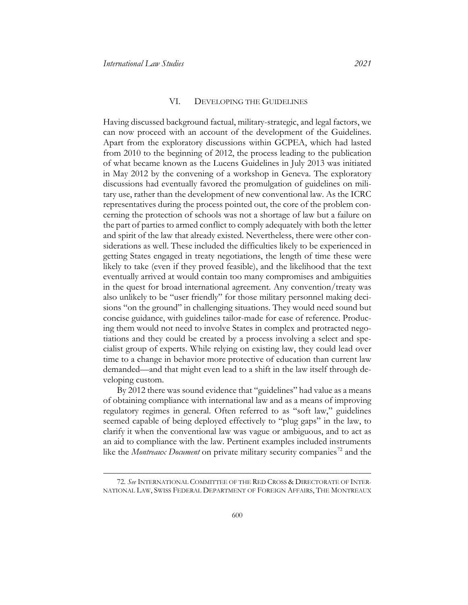#### VI. DEVELOPING THE GUIDELINES

<span id="page-28-0"></span>Having discussed background factual, military-strategic, and legal factors, we can now proceed with an account of the development of the Guidelines. Apart from the exploratory discussions within GCPEA, which had lasted from 2010 to the beginning of 2012, the process leading to the publication of what became known as the Lucens Guidelines in July 2013 was initiated in May 2012 by the convening of a workshop in Geneva. The exploratory discussions had eventually favored the promulgation of guidelines on military use, rather than the development of new conventional law. As the ICRC representatives during the process pointed out, the core of the problem concerning the protection of schools was not a shortage of law but a failure on the part of parties to armed conflict to comply adequately with both the letter and spirit of the law that already existed. Nevertheless, there were other considerations as well. These included the difficulties likely to be experienced in getting States engaged in treaty negotiations, the length of time these were likely to take (even if they proved feasible), and the likelihood that the text eventually arrived at would contain too many compromises and ambiguities in the quest for broad international agreement. Any convention/treaty was also unlikely to be "user friendly" for those military personnel making decisions "on the ground" in challenging situations. They would need sound but concise guidance, with guidelines tailor-made for ease of reference. Producing them would not need to involve States in complex and protracted negotiations and they could be created by a process involving a select and specialist group of experts. While relying on existing law, they could lead over time to a change in behavior more protective of education than current law demanded—and that might even lead to a shift in the law itself through developing custom.

By 2012 there was sound evidence that "guidelines" had value as a means of obtaining compliance with international law and as a means of improving regulatory regimes in general. Often referred to as "soft law," guidelines seemed capable of being deployed effectively to "plug gaps" in the law, to clarify it when the conventional law was vague or ambiguous, and to act as an aid to compliance with the law. Pertinent examples included instruments like the *Montreaux Document* on private military security companies<sup>[72](#page-28-1)</sup> and the

<span id="page-28-1"></span><sup>72.</sup> *See* INTERNATIONAL COMMITTEE OF THE RED CROSS & DIRECTORATE OF INTER-NATIONAL LAW, SWISS FEDERAL DEPARTMENT OF FOREIGN AFFAIRS, THE MONTREAUX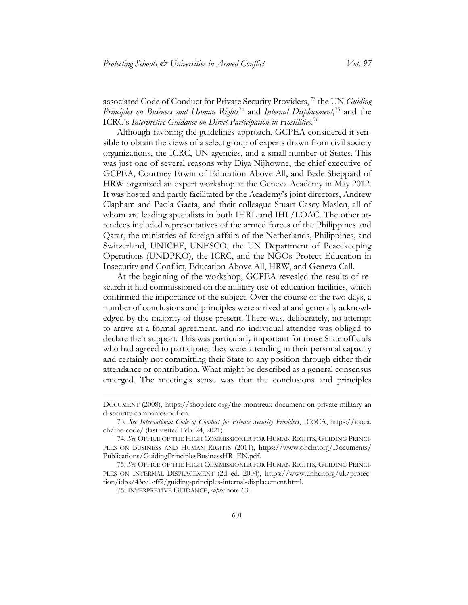associated Code of Conduct for Private Security Providers, [73](#page-29-0) the UN *Guiding Principles on Business and Human Rights*[74](#page-29-1) and *Internal Displacement*, [75](#page-29-2) and the ICRC's *Interpretive Guidance on Direct Participation in Hostilities*. [76](#page-29-3)

Although favoring the guidelines approach, GCPEA considered it sensible to obtain the views of a select group of experts drawn from civil society organizations, the ICRC, UN agencies, and a small number of States. This was just one of several reasons why Diya Nijhowne, the chief executive of GCPEA, Courtney Erwin of Education Above All, and Bede Sheppard of HRW organized an expert workshop at the Geneva Academy in May 2012. It was hosted and partly facilitated by the Academy's joint directors, Andrew Clapham and Paola Gaeta, and their colleague Stuart Casey-Maslen, all of whom are leading specialists in both IHRL and IHL/LOAC. The other attendees included representatives of the armed forces of the Philippines and Qatar, the ministries of foreign affairs of the Netherlands, Philippines, and Switzerland, UNICEF, UNESCO, the UN Department of Peacekeeping Operations (UNDPKO), the ICRC, and the NGOs Protect Education in Insecurity and Conflict, Education Above All, HRW, and Geneva Call.

At the beginning of the workshop, GCPEA revealed the results of research it had commissioned on the military use of education facilities, which confirmed the importance of the subject. Over the course of the two days, a number of conclusions and principles were arrived at and generally acknowledged by the majority of those present. There was, deliberately, no attempt to arrive at a formal agreement, and no individual attendee was obliged to declare their support. This was particularly important for those State officials who had agreed to participate; they were attending in their personal capacity and certainly not committing their State to any position through either their attendance or contribution. What might be described as a general consensus emerged. The meeting's sense was that the conclusions and principles

DOCUMENT (2008), [https://shop.icrc.org/the-montreux-document-on-private-military-an](https://shop.icrc.org/the-montreux-document-on-private-military-and-security-companies-pdf-en)  [d-security-companies-pdf-en.](https://shop.icrc.org/the-montreux-document-on-private-military-and-security-companies-pdf-en)

<span id="page-29-0"></span><sup>73.</sup> *See International Code of Conduct for Private Security Providers*, ICOCA, [https://icoca.](https://icoca.ch/the-code/)  [ch/the-code/](https://icoca.ch/the-code/) (last visited Feb. 24, 2021).

<span id="page-29-1"></span><sup>74.</sup> *See* OFFICE OF THE HIGH COMMISSIONER FOR HUMAN RIGHTS, GUIDING PRINCI-PLES ON BUSINESS AND HUMAN RIGHTS (2011), [https://www.ohchr.org/Documents/](https://www.ohchr.org/Documents/Publications/GuidingPrinciplesBusinessHR_EN.pdf)  [Publications/GuidingPrinciplesBusinessHR\\_EN.pdf.](https://www.ohchr.org/Documents/Publications/GuidingPrinciplesBusinessHR_EN.pdf)

<span id="page-29-3"></span><span id="page-29-2"></span><sup>75.</sup> *See* OFFICE OF THE HIGH COMMISSIONER FOR HUMAN RIGHTS, GUIDING PRINCI-PLES ON INTERNAL DISPLACEMENT (2d ed. 2004), [https://www.unhcr.org/uk/protec](https://www.unhcr.org/uk/protection/idps/43ce1cff2/guiding-principles-internal-displacement.html)[tion/idps/43ce1cff2/guiding-principles-internal-displacement.html.](https://www.unhcr.org/uk/protection/idps/43ce1cff2/guiding-principles-internal-displacement.html)

<sup>76.</sup> INTERPRETIVE GUIDANCE, *supra* not[e 63.](#page-23-3)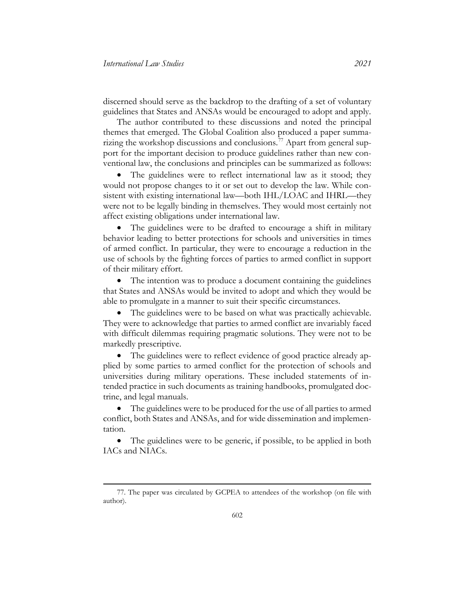discerned should serve as the backdrop to the drafting of a set of voluntary guidelines that States and ANSAs would be encouraged to adopt and apply.

The author contributed to these discussions and noted the principal themes that emerged. The Global Coalition also produced a paper summa-rizing the workshop discussions and conclusions.<sup>[77](#page-30-0)</sup> Apart from general support for the important decision to produce guidelines rather than new conventional law, the conclusions and principles can be summarized as follows:

• The guidelines were to reflect international law as it stood; they would not propose changes to it or set out to develop the law. While consistent with existing international law—both IHL/LOAC and IHRL—they were not to be legally binding in themselves. They would most certainly not affect existing obligations under international law.

• The guidelines were to be drafted to encourage a shift in military behavior leading to better protections for schools and universities in times of armed conflict. In particular, they were to encourage a reduction in the use of schools by the fighting forces of parties to armed conflict in support of their military effort.

• The intention was to produce a document containing the guidelines that States and ANSAs would be invited to adopt and which they would be able to promulgate in a manner to suit their specific circumstances.

• The guidelines were to be based on what was practically achievable. They were to acknowledge that parties to armed conflict are invariably faced with difficult dilemmas requiring pragmatic solutions. They were not to be markedly prescriptive.

• The guidelines were to reflect evidence of good practice already applied by some parties to armed conflict for the protection of schools and universities during military operations. These included statements of intended practice in such documents as training handbooks, promulgated doctrine, and legal manuals.

• The guidelines were to be produced for the use of all parties to armed conflict, both States and ANSAs, and for wide dissemination and implementation.

• The guidelines were to be generic, if possible, to be applied in both IACs and NIACs.

<span id="page-30-0"></span><sup>77.</sup> The paper was circulated by GCPEA to attendees of the workshop (on file with author).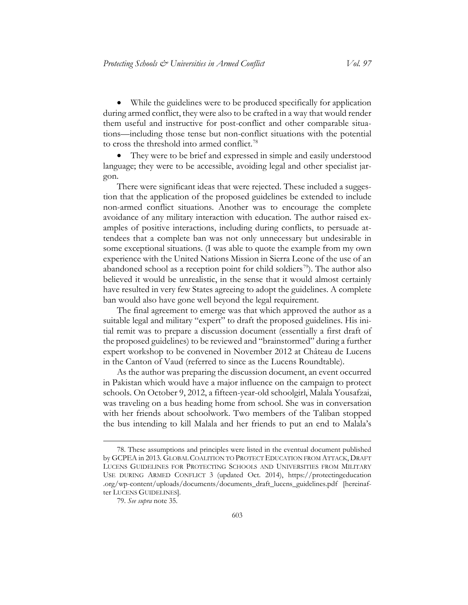• While the guidelines were to be produced specifically for application during armed conflict, they were also to be crafted in a way that would render them useful and instructive for post-conflict and other comparable situations—including those tense but non-conflict situations with the potential to cross the threshold into armed conflict.<sup>[78](#page-31-0)</sup>

<span id="page-31-2"></span>They were to be brief and expressed in simple and easily understood language; they were to be accessible, avoiding legal and other specialist jargon.

There were significant ideas that were rejected. These included a suggestion that the application of the proposed guidelines be extended to include non-armed conflict situations. Another was to encourage the complete avoidance of any military interaction with education. The author raised examples of positive interactions, including during conflicts, to persuade attendees that a complete ban was not only unnecessary but undesirable in some exceptional situations. (I was able to quote the example from my own experience with the United Nations Mission in Sierra Leone of the use of an abandoned school as a reception point for child soldiers<sup>[79](#page-31-1)</sup>). The author also believed it would be unrealistic, in the sense that it would almost certainly have resulted in very few States agreeing to adopt the guidelines. A complete ban would also have gone well beyond the legal requirement.

The final agreement to emerge was that which approved the author as a suitable legal and military "expert" to draft the proposed guidelines. His initial remit was to prepare a discussion document (essentially a first draft of the proposed guidelines) to be reviewed and "brainstormed" during a further expert workshop to be convened in November 2012 at Château de Lucens in the Canton of Vaud (referred to since as the Lucens Roundtable).

As the author was preparing the discussion document, an event occurred in Pakistan which would have a major influence on the campaign to protect schools. On October 9, 2012, a fifteen-year-old schoolgirl, Malala Yousafzai, was traveling on a bus heading home from school. She was in conversation with her friends about schoolwork. Two members of the Taliban stopped the bus intending to kill Malala and her friends to put an end to Malala's

<span id="page-31-0"></span><sup>78.</sup> These assumptions and principles were listed in the eventual document published by GCPEA in 2013. GLOBAL COALITION TO PROTECT EDUCATION FROM ATTACK, DRAFT LUCENS GUIDELINES FOR PROTECTING SCHOOLS AND UNIVERSITIES FROM MILITARY USE DURING ARMED CONFLICT 3 (updated Oct. 2014), [https://protectingeducation](https://protectingeducation.org/wp-content/uploads/documents/documents_draft_lucens_guidelines.pdf)  [.org/wp-content/uploads/documents/documents\\_draft\\_lucens\\_guidelines.pdf](https://protectingeducation.org/wp-content/uploads/documents/documents_draft_lucens_guidelines.pdf) [hereinafter LUCENS GUIDELINES].

<span id="page-31-1"></span><sup>79.</sup> *See supra* note [35.](#page-14-1)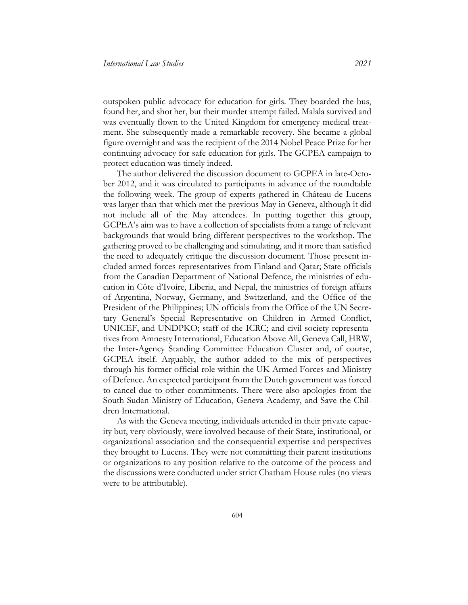outspoken public advocacy for education for girls. They boarded the bus, found her, and shot her, but their murder attempt failed. Malala survived and was eventually flown to the United Kingdom for emergency medical treatment. She subsequently made a remarkable recovery. She became a global figure overnight and was the recipient of the 2014 Nobel Peace Prize for her continuing advocacy for safe education for girls. The GCPEA campaign to protect education was timely indeed.

The author delivered the discussion document to GCPEA in late-October 2012, and it was circulated to participants in advance of the roundtable the following week. The group of experts gathered in Château de Lucens was larger than that which met the previous May in Geneva, although it did not include all of the May attendees. In putting together this group, GCPEA's aim was to have a collection of specialists from a range of relevant backgrounds that would bring different perspectives to the workshop. The gathering proved to be challenging and stimulating, and it more than satisfied the need to adequately critique the discussion document. Those present included armed forces representatives from Finland and Qatar; State officials from the Canadian Department of National Defence, the ministries of education in Côte d'Ivoire, Liberia, and Nepal, the ministries of foreign affairs of Argentina, Norway, Germany, and Switzerland, and the Office of the President of the Philippines; UN officials from the Office of the UN Secretary General's Special Representative on Children in Armed Conflict, UNICEF, and UNDPKO; staff of the ICRC; and civil society representatives from Amnesty International, Education Above All, Geneva Call, HRW, the Inter-Agency Standing Committee Education Cluster and, of course, GCPEA itself. Arguably, the author added to the mix of perspectives through his former official role within the UK Armed Forces and Ministry of Defence. An expected participant from the Dutch government was forced to cancel due to other commitments. There were also apologies from the South Sudan Ministry of Education, Geneva Academy, and Save the Children International.

As with the Geneva meeting, individuals attended in their private capacity but, very obviously, were involved because of their State, institutional, or organizational association and the consequential expertise and perspectives they brought to Lucens. They were not committing their parent institutions or organizations to any position relative to the outcome of the process and the discussions were conducted under strict Chatham House rules (no views were to be attributable).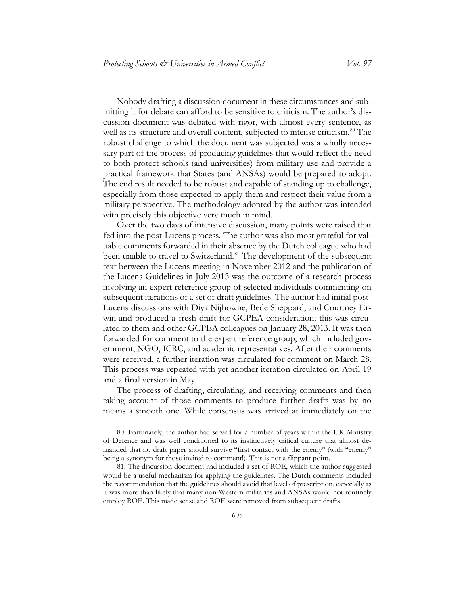Nobody drafting a discussion document in these circumstances and submitting it for debate can afford to be sensitive to criticism. The author's discussion document was debated with rigor, with almost every sentence, as well as its structure and overall content, subjected to intense criticism.<sup>[80](#page-33-0)</sup> The robust challenge to which the document was subjected was a wholly necessary part of the process of producing guidelines that would reflect the need to both protect schools (and universities) from military use and provide a practical framework that States (and ANSAs) would be prepared to adopt. The end result needed to be robust and capable of standing up to challenge, especially from those expected to apply them and respect their value from a military perspective. The methodology adopted by the author was intended with precisely this objective very much in mind.

Over the two days of intensive discussion, many points were raised that fed into the post-Lucens process. The author was also most grateful for valuable comments forwarded in their absence by the Dutch colleague who had been unable to travel to Switzerland.<sup>[81](#page-33-1)</sup> The development of the subsequent text between the Lucens meeting in November 2012 and the publication of the Lucens Guidelines in July 2013 was the outcome of a research process involving an expert reference group of selected individuals commenting on subsequent iterations of a set of draft guidelines. The author had initial post-Lucens discussions with Diya Nijhowne, Bede Sheppard, and Courtney Erwin and produced a fresh draft for GCPEA consideration; this was circulated to them and other GCPEA colleagues on January 28, 2013. It was then forwarded for comment to the expert reference group, which included government, NGO, ICRC, and academic representatives. After their comments were received, a further iteration was circulated for comment on March 28. This process was repeated with yet another iteration circulated on April 19 and a final version in May.

The process of drafting, circulating, and receiving comments and then taking account of those comments to produce further drafts was by no means a smooth one. While consensus was arrived at immediately on the

<span id="page-33-0"></span><sup>80.</sup> Fortunately, the author had served for a number of years within the UK Ministry of Defence and was well conditioned to its instinctively critical culture that almost demanded that no draft paper should survive "first contact with the enemy" (with "enemy" being a synonym for those invited to comment!). This is not a flippant point.

<span id="page-33-1"></span><sup>81.</sup> The discussion document had included a set of ROE, which the author suggested would be a useful mechanism for applying the guidelines. The Dutch comments included the recommendation that the guidelines should avoid that level of prescription, especially as it was more than likely that many non-Western militaries and ANSAs would not routinely employ ROE. This made sense and ROE were removed from subsequent drafts.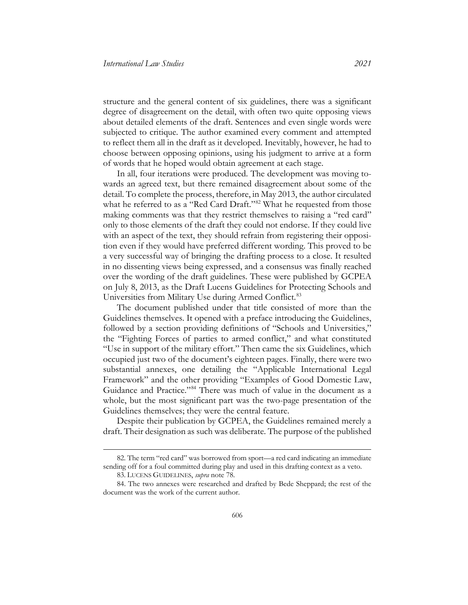structure and the general content of six guidelines, there was a significant degree of disagreement on the detail, with often two quite opposing views about detailed elements of the draft. Sentences and even single words were subjected to critique. The author examined every comment and attempted to reflect them all in the draft as it developed. Inevitably, however, he had to choose between opposing opinions, using his judgment to arrive at a form of words that he hoped would obtain agreement at each stage.

In all, four iterations were produced. The development was moving towards an agreed text, but there remained disagreement about some of the detail. To complete the process, therefore, in May 2013, the author circulated what he referred to as a "Red Card Draft."<sup>[82](#page-34-0)</sup> What he requested from those making comments was that they restrict themselves to raising a "red card" only to those elements of the draft they could not endorse. If they could live with an aspect of the text, they should refrain from registering their opposition even if they would have preferred different wording. This proved to be a very successful way of bringing the drafting process to a close. It resulted in no dissenting views being expressed, and a consensus was finally reached over the wording of the draft guidelines. These were published by GCPEA on July 8, 2013, as the Draft Lucens Guidelines for Protecting Schools and Universities from Military Use during Armed Conflict.<sup>[83](#page-34-1)</sup>

The document published under that title consisted of more than the Guidelines themselves. It opened with a preface introducing the Guidelines, followed by a section providing definitions of "Schools and Universities," the "Fighting Forces of parties to armed conflict," and what constituted "Use in support of the military effort." Then came the six Guidelines, which occupied just two of the document's eighteen pages. Finally, there were two substantial annexes, one detailing the "Applicable International Legal Framework" and the other providing "Examples of Good Domestic Law, Guidance and Practice."[84](#page-34-2) There was much of value in the document as a whole, but the most significant part was the two-page presentation of the Guidelines themselves; they were the central feature.

Despite their publication by GCPEA, the Guidelines remained merely a draft. Their designation as such was deliberate. The purpose of the published

<span id="page-34-0"></span><sup>82.</sup> The term "red card" was borrowed from sport—a red card indicating an immediate sending off for a foul committed during play and used in this drafting context as a veto.

<sup>83.</sup> LUCENS GUIDELINES, *supra* note [78.](#page-31-2)

<span id="page-34-2"></span><span id="page-34-1"></span><sup>84.</sup> The two annexes were researched and drafted by Bede Sheppard; the rest of the document was the work of the current author.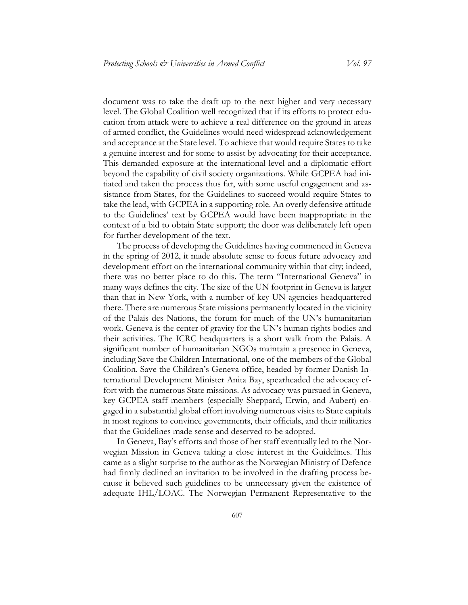document was to take the draft up to the next higher and very necessary level. The Global Coalition well recognized that if its efforts to protect education from attack were to achieve a real difference on the ground in areas of armed conflict, the Guidelines would need widespread acknowledgement and acceptance at the State level. To achieve that would require States to take a genuine interest and for some to assist by advocating for their acceptance. This demanded exposure at the international level and a diplomatic effort beyond the capability of civil society organizations. While GCPEA had initiated and taken the process thus far, with some useful engagement and assistance from States, for the Guidelines to succeed would require States to take the lead, with GCPEA in a supporting role. An overly defensive attitude to the Guidelines' text by GCPEA would have been inappropriate in the context of a bid to obtain State support; the door was deliberately left open for further development of the text.

The process of developing the Guidelines having commenced in Geneva in the spring of 2012, it made absolute sense to focus future advocacy and development effort on the international community within that city; indeed, there was no better place to do this. The term "International Geneva" in many ways defines the city. The size of the UN footprint in Geneva is larger than that in New York, with a number of key UN agencies headquartered there. There are numerous State missions permanently located in the vicinity of the Palais des Nations, the forum for much of the UN's humanitarian work. Geneva is the center of gravity for the UN's human rights bodies and their activities. The ICRC headquarters is a short walk from the Palais. A significant number of humanitarian NGOs maintain a presence in Geneva, including Save the Children International, one of the members of the Global Coalition. Save the Children's Geneva office, headed by former Danish International Development Minister Anita Bay, spearheaded the advocacy effort with the numerous State missions. As advocacy was pursued in Geneva, key GCPEA staff members (especially Sheppard, Erwin, and Aubert) engaged in a substantial global effort involving numerous visits to State capitals in most regions to convince governments, their officials, and their militaries that the Guidelines made sense and deserved to be adopted.

In Geneva, Bay's efforts and those of her staff eventually led to the Norwegian Mission in Geneva taking a close interest in the Guidelines. This came as a slight surprise to the author as the Norwegian Ministry of Defence had firmly declined an invitation to be involved in the drafting process because it believed such guidelines to be unnecessary given the existence of adequate IHL/LOAC. The Norwegian Permanent Representative to the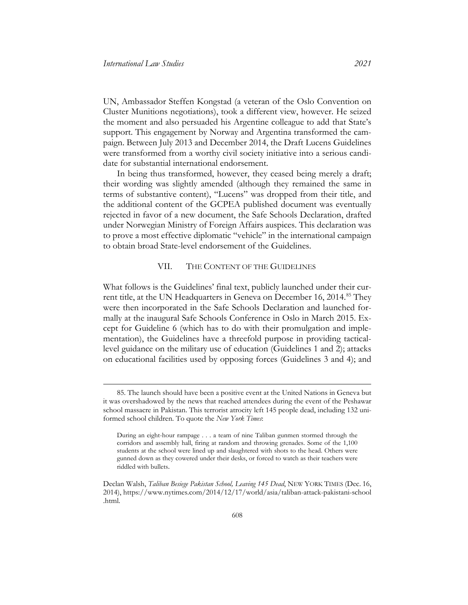UN, Ambassador Steffen Kongstad (a veteran of the Oslo Convention on Cluster Munitions negotiations), took a different view, however. He seized the moment and also persuaded his Argentine colleague to add that State's support. This engagement by Norway and Argentina transformed the campaign. Between July 2013 and December 2014, the Draft Lucens Guidelines were transformed from a worthy civil society initiative into a serious candidate for substantial international endorsement.

In being thus transformed, however, they ceased being merely a draft; their wording was slightly amended (although they remained the same in terms of substantive content), "Lucens" was dropped from their title, and the additional content of the GCPEA published document was eventually rejected in favor of a new document, the Safe Schools Declaration, drafted under Norwegian Ministry of Foreign Affairs auspices. This declaration was to prove a most effective diplomatic "vehicle" in the international campaign to obtain broad State-level endorsement of the Guidelines.

#### VII. THE CONTENT OF THE GUIDELINES

<span id="page-36-0"></span>What follows is the Guidelines' final text, publicly launched under their cur-rent title, at the UN Headquarters in Geneva on December 16, 2014.<sup>[85](#page-36-1)</sup> They were then incorporated in the Safe Schools Declaration and launched formally at the inaugural Safe Schools Conference in Oslo in March 2015. Except for Guideline 6 (which has to do with their promulgation and implementation), the Guidelines have a threefold purpose in providing tacticallevel guidance on the military use of education (Guidelines 1 and 2); attacks on educational facilities used by opposing forces (Guidelines 3 and 4); and

<span id="page-36-1"></span><sup>85.</sup> The launch should have been a positive event at the United Nations in Geneva but it was overshadowed by the news that reached attendees during the event of the Peshawar school massacre in Pakistan. This terrorist atrocity left 145 people dead, including 132 uniformed school children. To quote the *New York Times*:

During an eight-hour rampage . . . a team of nine Taliban gunmen stormed through the corridors and assembly hall, firing at random and throwing grenades. Some of the 1,100 students at the school were lined up and slaughtered with shots to the head. Others were gunned down as they cowered under their desks, or forced to watch as their teachers were riddled with bullets.

Declan Walsh, *Taliban Besiege Pakistan School, Leaving 145 Dead*, NEW YORK TIMES (Dec. 16, 2014), [https://www.nytimes.com/2014/12/17/world/asia/taliban-attack-pakistani-school](https://www.nytimes.com/2014/12/17/world/asia/taliban-attack-pakistani-school.html)  [.html.](https://www.nytimes.com/2014/12/17/world/asia/taliban-attack-pakistani-school.html)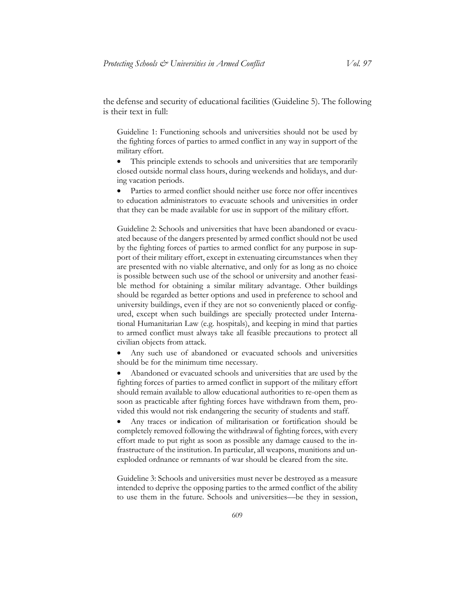the defense and security of educational facilities (Guideline 5). The following is their text in full:

Guideline 1: Functioning schools and universities should not be used by the fighting forces of parties to armed conflict in any way in support of the military effort.

This principle extends to schools and universities that are temporarily closed outside normal class hours, during weekends and holidays, and during vacation periods.

Parties to armed conflict should neither use force nor offer incentives to education administrators to evacuate schools and universities in order that they can be made available for use in support of the military effort.

Guideline 2: Schools and universities that have been abandoned or evacuated because of the dangers presented by armed conflict should not be used by the fighting forces of parties to armed conflict for any purpose in support of their military effort, except in extenuating circumstances when they are presented with no viable alternative, and only for as long as no choice is possible between such use of the school or university and another feasible method for obtaining a similar military advantage. Other buildings should be regarded as better options and used in preference to school and university buildings, even if they are not so conveniently placed or configured, except when such buildings are specially protected under International Humanitarian Law (e.g. hospitals), and keeping in mind that parties to armed conflict must always take all feasible precautions to protect all civilian objects from attack.

• Any such use of abandoned or evacuated schools and universities should be for the minimum time necessary.

• Abandoned or evacuated schools and universities that are used by the fighting forces of parties to armed conflict in support of the military effort should remain available to allow educational authorities to re-open them as soon as practicable after fighting forces have withdrawn from them, provided this would not risk endangering the security of students and staff.

• Any traces or indication of militarisation or fortification should be completely removed following the withdrawal of fighting forces, with every effort made to put right as soon as possible any damage caused to the infrastructure of the institution. In particular, all weapons, munitions and unexploded ordnance or remnants of war should be cleared from the site.

Guideline 3: Schools and universities must never be destroyed as a measure intended to deprive the opposing parties to the armed conflict of the ability to use them in the future. Schools and universities—be they in session,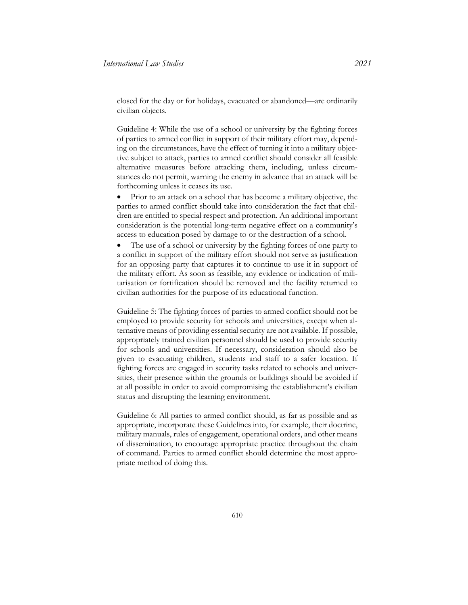closed for the day or for holidays, evacuated or abandoned—are ordinarily civilian objects.

Guideline 4: While the use of a school or university by the fighting forces of parties to armed conflict in support of their military effort may, depending on the circumstances, have the effect of turning it into a military objective subject to attack, parties to armed conflict should consider all feasible alternative measures before attacking them, including, unless circumstances do not permit, warning the enemy in advance that an attack will be forthcoming unless it ceases its use.

• Prior to an attack on a school that has become a military objective, the parties to armed conflict should take into consideration the fact that children are entitled to special respect and protection. An additional important consideration is the potential long-term negative effect on a community's access to education posed by damage to or the destruction of a school.

The use of a school or university by the fighting forces of one party to a conflict in support of the military effort should not serve as justification for an opposing party that captures it to continue to use it in support of the military effort. As soon as feasible, any evidence or indication of militarisation or fortification should be removed and the facility returned to civilian authorities for the purpose of its educational function.

Guideline 5: The fighting forces of parties to armed conflict should not be employed to provide security for schools and universities, except when alternative means of providing essential security are not available. If possible, appropriately trained civilian personnel should be used to provide security for schools and universities. If necessary, consideration should also be given to evacuating children, students and staff to a safer location. If fighting forces are engaged in security tasks related to schools and universities, their presence within the grounds or buildings should be avoided if at all possible in order to avoid compromising the establishment's civilian status and disrupting the learning environment.

Guideline 6: All parties to armed conflict should, as far as possible and as appropriate, incorporate these Guidelines into, for example, their doctrine, military manuals, rules of engagement, operational orders, and other means of dissemination, to encourage appropriate practice throughout the chain of command. Parties to armed conflict should determine the most appropriate method of doing this.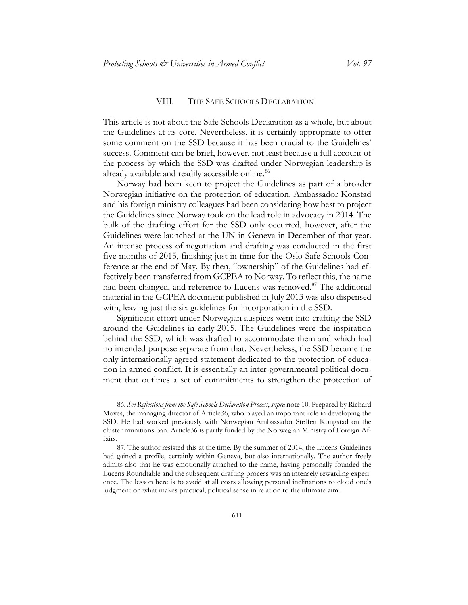#### VIII. THE SAFE SCHOOLS DECLARATION

<span id="page-39-0"></span>This article is not about the Safe Schools Declaration as a whole, but about the Guidelines at its core. Nevertheless, it is certainly appropriate to offer some comment on the SSD because it has been crucial to the Guidelines' success. Comment can be brief, however, not least because a full account of the process by which the SSD was drafted under Norwegian leadership is already available and readily accessible online.<sup>[86](#page-39-1)</sup>

Norway had been keen to project the Guidelines as part of a broader Norwegian initiative on the protection of education. Ambassador Konstad and his foreign ministry colleagues had been considering how best to project the Guidelines since Norway took on the lead role in advocacy in 2014. The bulk of the drafting effort for the SSD only occurred, however, after the Guidelines were launched at the UN in Geneva in December of that year. An intense process of negotiation and drafting was conducted in the first five months of 2015, finishing just in time for the Oslo Safe Schools Conference at the end of May. By then, "ownership" of the Guidelines had effectively been transferred from GCPEA to Norway. To reflect this, the name had been changed, and reference to Lucens was removed.<sup>[87](#page-39-2)</sup> The additional material in the GCPEA document published in July 2013 was also dispensed with, leaving just the six guidelines for incorporation in the SSD.

Significant effort under Norwegian auspices went into crafting the SSD around the Guidelines in early-2015. The Guidelines were the inspiration behind the SSD, which was drafted to accommodate them and which had no intended purpose separate from that. Nevertheless, the SSD became the only internationally agreed statement dedicated to the protection of education in armed conflict. It is essentially an inter-governmental political document that outlines a set of commitments to strengthen the protection of

<span id="page-39-1"></span><sup>86.</sup> *See Reflections from the Safe Schools Declaration Process*, *supra* not[e 10.](#page-3-5) Prepared by Richard Moyes, the managing director of Article36, who played an important role in developing the SSD. He had worked previously with Norwegian Ambassador Steffen Kongstad on the cluster munitions ban. Article36 is partly funded by the Norwegian Ministry of Foreign Affairs.

<span id="page-39-2"></span><sup>87.</sup> The author resisted this at the time. By the summer of 2014, the Lucens Guidelines had gained a profile, certainly within Geneva, but also internationally. The author freely admits also that he was emotionally attached to the name, having personally founded the Lucens Roundtable and the subsequent drafting process was an intensely rewarding experience. The lesson here is to avoid at all costs allowing personal inclinations to cloud one's judgment on what makes practical, political sense in relation to the ultimate aim.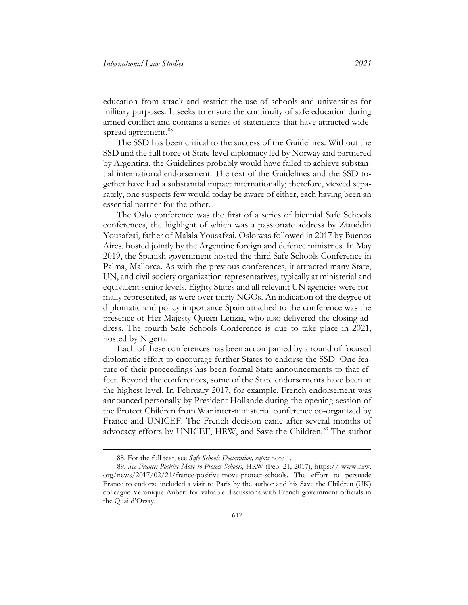education from attack and restrict the use of schools and universities for military purposes. It seeks to ensure the continuity of safe education during armed conflict and contains a series of statements that have attracted wide-spread agreement.<sup>[88](#page-40-0)</sup>

The SSD has been critical to the success of the Guidelines. Without the SSD and the full force of State-level diplomacy led by Norway and partnered by Argentina, the Guidelines probably would have failed to achieve substantial international endorsement. The text of the Guidelines and the SSD together have had a substantial impact internationally; therefore, viewed separately, one suspects few would today be aware of either, each having been an essential partner for the other.

The Oslo conference was the first of a series of biennial Safe Schools conferences, the highlight of which was a passionate address by Ziauddin Yousafzai, father of Malala Yousafzai. Oslo was followed in 2017 by Buenos Aires, hosted jointly by the Argentine foreign and defence ministries. In May 2019, the Spanish government hosted the third Safe Schools Conference in Palma, Mallorca. As with the previous conferences, it attracted many State, UN, and civil society organization representatives, typically at ministerial and equivalent senior levels. Eighty States and all relevant UN agencies were formally represented, as were over thirty NGOs. An indication of the degree of diplomatic and policy importance Spain attached to the conference was the presence of Her Majesty Queen Letizia, who also delivered the closing address. The fourth Safe Schools Conference is due to take place in 2021, hosted by Nigeria.

Each of these conferences has been accompanied by a round of focused diplomatic effort to encourage further States to endorse the SSD. One feature of their proceedings has been formal State announcements to that effect. Beyond the conferences, some of the State endorsements have been at the highest level. In February 2017, for example, French endorsement was announced personally by President Hollande during the opening session of the Protect Children from War inter-ministerial conference co-organized by France and UNICEF. The French decision came after several months of advocacy efforts by UNICEF, HRW, and Save the Children.<sup>[89](#page-40-1)</sup> The author

<sup>88.</sup> For the full text, see *Safe Schools Declaration, supra* not[e 1.](#page-2-9)

<span id="page-40-1"></span><span id="page-40-0"></span><sup>89.</sup> *See France: Positive Move to Protect Schools*, HRW (Feb. 21, 2017), [https:// www.hrw.](https://www.hrw.org/news/2017/02/21/france-positive-move-protect-schools)  [org/news/2017/02/21/france-positive-move-protect-schools.](https://www.hrw.org/news/2017/02/21/france-positive-move-protect-schools) The effort to persuade France to endorse included a visit to Paris by the author and his Save the Children (UK) colleague Veronique Aubert for valuable discussions with French government officials in the Quai d'Orsay.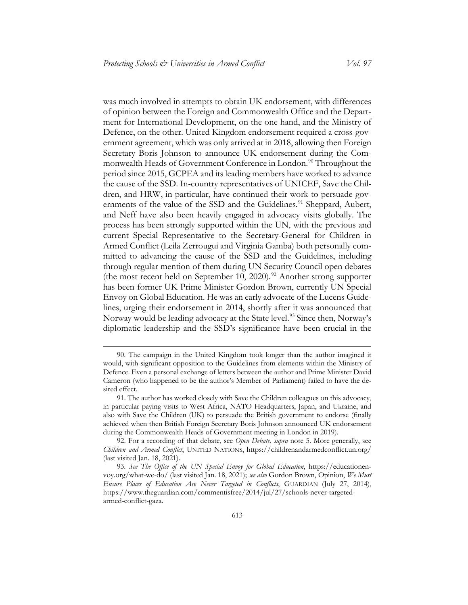was much involved in attempts to obtain UK endorsement, with differences of opinion between the Foreign and Commonwealth Office and the Department for International Development, on the one hand, and the Ministry of Defence, on the other. United Kingdom endorsement required a cross-government agreement, which was only arrived at in 2018, allowing then Foreign Secretary Boris Johnson to announce UK endorsement during the Com-monwealth Heads of Government Conference in London.<sup>[90](#page-41-0)</sup> Throughout the period since 2015, GCPEA and its leading members have worked to advance the cause of the SSD. In-country representatives of UNICEF, Save the Children, and HRW, in particular, have continued their work to persuade gov-ernments of the value of the SSD and the Guidelines.<sup>[91](#page-41-1)</sup> Sheppard, Aubert, and Neff have also been heavily engaged in advocacy visits globally. The process has been strongly supported within the UN, with the previous and current Special Representative to the Secretary-General for Children in Armed Conflict (Leila Zerrougui and Virginia Gamba) both personally committed to advancing the cause of the SSD and the Guidelines, including through regular mention of them during UN Security Council open debates (the most recent held on September 10, 2020).<sup>[92](#page-41-2)</sup> Another strong supporter has been former UK Prime Minister Gordon Brown, currently UN Special Envoy on Global Education. He was an early advocate of the Lucens Guidelines, urging their endorsement in 2014, shortly after it was announced that Norway would be leading advocacy at the State level.<sup>[93](#page-41-3)</sup> Since then, Norway's diplomatic leadership and the SSD's significance have been crucial in the

<span id="page-41-0"></span><sup>90.</sup> The campaign in the United Kingdom took longer than the author imagined it would, with significant opposition to the Guidelines from elements within the Ministry of Defence. Even a personal exchange of letters between the author and Prime Minister David Cameron (who happened to be the author's Member of Parliament) failed to have the desired effect.

<span id="page-41-1"></span><sup>91.</sup> The author has worked closely with Save the Children colleagues on this advocacy, in particular paying visits to West Africa, NATO Headquarters, Japan, and Ukraine, and also with Save the Children (UK) to persuade the British government to endorse (finally achieved when then British Foreign Secretary Boris Johnson announced UK endorsement during the Commonwealth Heads of Government meeting in London in 2019).

<span id="page-41-2"></span><sup>92.</sup> For a recording of that debate, see *Open Debate*, *supra* note [5.](#page-2-10) More generally, see *Children and Armed Conflict*, UNITED NATIONS, <https://childrenandarmedconflict.un.org/> (last visited Jan. 18, 2021).

<span id="page-41-3"></span><sup>93.</sup> *See The Office of the UN Special Envoy for Global Education*, [https://educationen](https://educationenvoy.org/what-we-do/)[voy.org/what-we-do/](https://educationenvoy.org/what-we-do/) (last visited Jan. 18, 2021); *see also* Gordon Brown, Opinion, *We Must Ensure Places of Education Are Never Targeted in Conflicts*, GUARDIAN (July 27, 2014), [https://www.theguardian.com/commentisfree/2014/jul/27/schools-never-targeted](https://www.theguardian.com/commentisfree/2014/jul/27/schools-never-targeted-armed-conflict-gaza)[armed-conflict-gaza.](https://www.theguardian.com/commentisfree/2014/jul/27/schools-never-targeted-armed-conflict-gaza)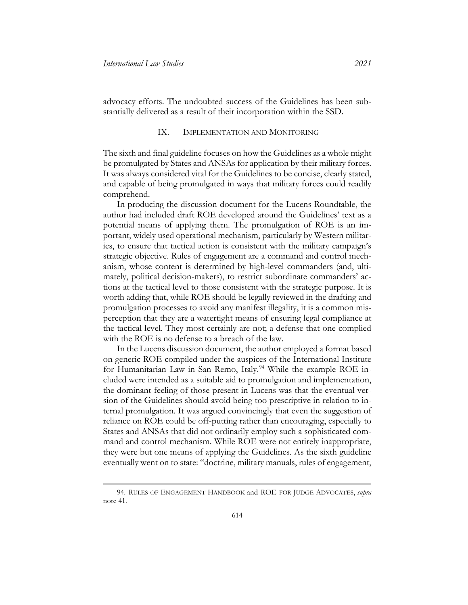advocacy efforts. The undoubted success of the Guidelines has been substantially delivered as a result of their incorporation within the SSD.

#### IX. IMPLEMENTATION AND MONITORING

<span id="page-42-0"></span>The sixth and final guideline focuses on how the Guidelines as a whole might be promulgated by States and ANSAs for application by their military forces. It was always considered vital for the Guidelines to be concise, clearly stated, and capable of being promulgated in ways that military forces could readily comprehend.

In producing the discussion document for the Lucens Roundtable, the author had included draft ROE developed around the Guidelines' text as a potential means of applying them. The promulgation of ROE is an important, widely used operational mechanism, particularly by Western militaries, to ensure that tactical action is consistent with the military campaign's strategic objective. Rules of engagement are a command and control mechanism, whose content is determined by high-level commanders (and, ultimately, political decision-makers), to restrict subordinate commanders' actions at the tactical level to those consistent with the strategic purpose. It is worth adding that, while ROE should be legally reviewed in the drafting and promulgation processes to avoid any manifest illegality, it is a common misperception that they are a watertight means of ensuring legal compliance at the tactical level. They most certainly are not; a defense that one complied with the ROE is no defense to a breach of the law.

In the Lucens discussion document, the author employed a format based on generic ROE compiled under the auspices of the International Institute for Humanitarian Law in San Remo, Italy.<sup>[94](#page-42-1)</sup> While the example ROE included were intended as a suitable aid to promulgation and implementation, the dominant feeling of those present in Lucens was that the eventual version of the Guidelines should avoid being too prescriptive in relation to internal promulgation. It was argued convincingly that even the suggestion of reliance on ROE could be off-putting rather than encouraging, especially to States and ANSAs that did not ordinarily employ such a sophisticated command and control mechanism. While ROE were not entirely inappropriate, they were but one means of applying the Guidelines. As the sixth guideline eventually went on to state: "doctrine, military manuals, rules of engagement,

<span id="page-42-1"></span><sup>94.</sup> RULES OF ENGAGEMENT HANDBOOK and ROE FOR JUDGE ADVOCATES, *supra*  note [41.](#page-17-2)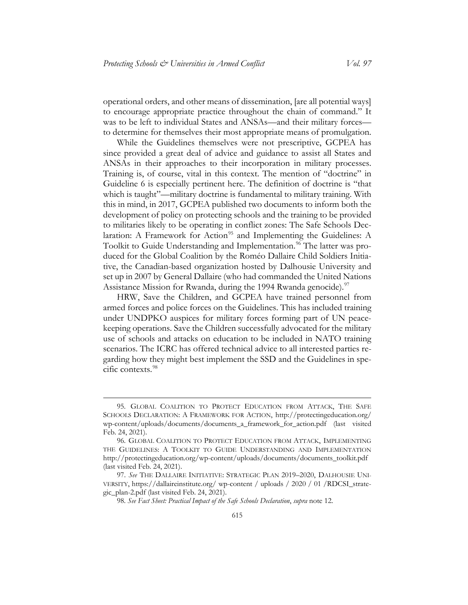operational orders, and other means of dissemination, [are all potential ways] to encourage appropriate practice throughout the chain of command." It was to be left to individual States and ANSAs—and their military forces to determine for themselves their most appropriate means of promulgation.

While the Guidelines themselves were not prescriptive, GCPEA has since provided a great deal of advice and guidance to assist all States and ANSAs in their approaches to their incorporation in military processes. Training is, of course, vital in this context. The mention of "doctrine" in Guideline 6 is especially pertinent here. The definition of doctrine is "that which is taught"—military doctrine is fundamental to military training. With this in mind, in 2017, GCPEA published two documents to inform both the development of policy on protecting schools and the training to be provided to militaries likely to be operating in conflict zones: The Safe Schools Dec-laration: A Framework for Action<sup>[95](#page-43-0)</sup> and Implementing the Guidelines: A Toolkit to Guide Understanding and Implementation. [96](#page-43-1) The latter was produced for the Global Coalition by the Roméo Dallaire Child Soldiers Initiative, the Canadian-based organization hosted by Dalhousie University and set up in 2007 by General Dallaire (who had commanded the United Nations Assistance Mission for Rwanda, during the 1994 Rwanda genocide).<sup>[97](#page-43-2)</sup>

HRW, Save the Children, and GCPEA have trained personnel from armed forces and police forces on the Guidelines. This has included training under UNDPKO auspices for military forces forming part of UN peacekeeping operations. Save the Children successfully advocated for the military use of schools and attacks on education to be included in NATO training scenarios. The ICRC has offered technical advice to all interested parties regarding how they might best implement the SSD and the Guidelines in specific contexts.[98](#page-43-3)

<span id="page-43-0"></span><sup>95.</sup> GLOBAL COALITION TO PROTECT EDUCATION FROM ATTACK, THE SAFE SCHOOLS DECLARATION: A FRAMEWORK FOR ACTION, [http://protectingeducation.org/](http://protectingeducation.org/wp-content/uploads/documents/documents_a_framework_for_action.pdf)  [wp-content/uploads/documents/documents\\_a\\_framework\\_for\\_action.pdf](http://protectingeducation.org/wp-content/uploads/documents/documents_a_framework_for_action.pdf) (last visited Feb. 24, 2021).

<span id="page-43-1"></span><sup>96.</sup> GLOBAL COALITION TO PROTECT EDUCATION FROM ATTACK, IMPLEMENTING THE GUIDELINES: A TOOLKIT TO GUIDE UNDERSTANDING AND IMPLEMENTATION [http://protectingeducation.org/wp-content/uploads/documents/documents\\_toolkit.pdf](http://protectingeducation.org/wp-content/uploads/documents/documents_toolkit.pdf) (last visited Feb. 24, 2021).

<span id="page-43-3"></span><span id="page-43-2"></span><sup>97.</sup> *See* THE DALLAIRE INITIATIVE: STRATEGIC PLAN 2019–2020, DALHOUSIE UNI-VERSITY, [https://dallaireinstitute.org/ wp-content / uploads / 2020 / 01 /RDCSI\\_strate](https://dallaireinstitute.org/wp-content/uploads/2020/01/RDCSI_strategic_plan-2.pdf)[gic\\_plan-2.pdf](https://dallaireinstitute.org/wp-content/uploads/2020/01/RDCSI_strategic_plan-2.pdf) (last visited Feb. 24, 2021).

<sup>98.</sup> *See Fact Sheet: Practical Impact of the Safe Schools Declaration*, *supra* note [12.](#page-4-2)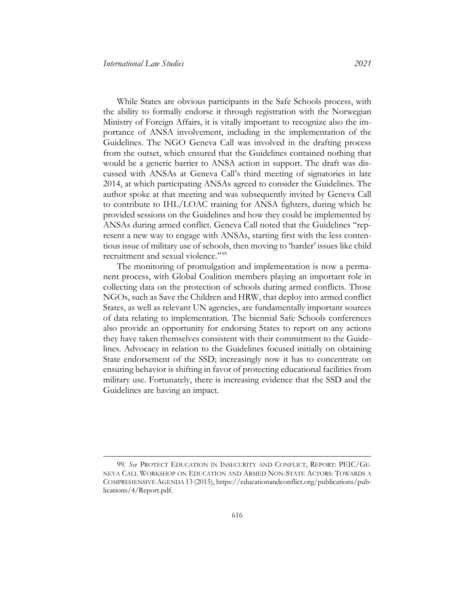While States are obvious participants in the Safe Schools process, with the ability to formally endorse it through registration with the Norwegian Ministry of Foreign Affairs, it is vitally important to recognize also the importance of ANSA involvement, including in the implementation of the Guidelines. The NGO Geneva Call was involved in the drafting process from the outset, which ensured that the Guidelines contained nothing that would be a generic barrier to ANSA action in support. The draft was discussed with ANSAs at Geneva Call's third meeting of signatories in late 2014, at which participating ANSAs agreed to consider the Guidelines. The author spoke at that meeting and was subsequently invited by Geneva Call to contribute to IHL/LOAC training for ANSA fighters, during which he provided sessions on the Guidelines and how they could be implemented by ANSAs during armed conflict. Geneva Call noted that the Guidelines "represent a new way to engage with ANSAs, starting first with the less contentious issue of military use of schools, then moving to 'harder' issues like child recruitment and sexual violence."<sup>[99](#page-44-0)</sup>

The monitoring of promulgation and implementation is now a permanent process, with Global Coalition members playing an important role in collecting data on the protection of schools during armed conflicts. Those NGOs, such as Save the Children and HRW, that deploy into armed conflict States, as well as relevant UN agencies, are fundamentally important sources of data relating to implementation. The biennial Safe Schools conferences also provide an opportunity for endorsing States to report on any actions they have taken themselves consistent with their commitment to the Guidelines. Advocacy in relation to the Guidelines focused initially on obtaining State endorsement of the SSD; increasingly now it has to concentrate on ensuring behavior is shifting in favor of protecting educational facilities from military use. Fortunately, there is increasing evidence that the SSD and the Guidelines are having an impact.

<span id="page-44-0"></span><sup>99.</sup> *See* PROTECT EDUCATION IN INSECURITY AND CONFLICT, REPORT: PEIC/GE-NEVA CALL WORKSHOP ON EDUCATION AND ARMED NON-STATE ACTORS: TOWARDS A COMPREHENSIVE AGENDA 13 (2015)[, https://educationandconflict.org/publications/pub](https://educationandconflict.org/publications/publications/4/Report.pdf)[lications/4/Report.pdf.](https://educationandconflict.org/publications/publications/4/Report.pdf)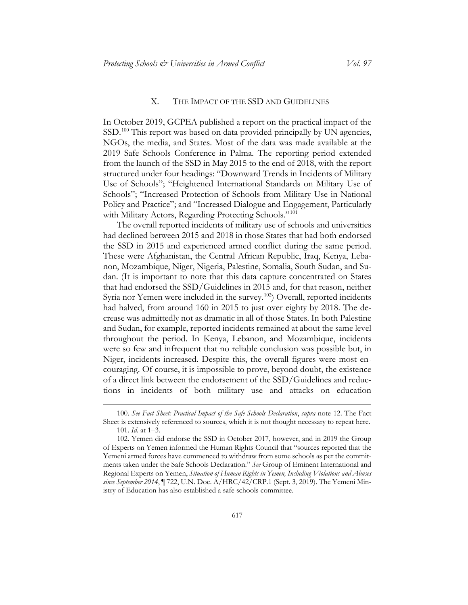#### X. THE IMPACT OF THE SSD AND GUIDELINES

<span id="page-45-0"></span>In October 2019, GCPEA published a report on the practical impact of the SSD.<sup>[100](#page-45-1)</sup> This report was based on data provided principally by UN agencies, NGOs, the media, and States. Most of the data was made available at the 2019 Safe Schools Conference in Palma. The reporting period extended from the launch of the SSD in May 2015 to the end of 2018, with the report structured under four headings: "Downward Trends in Incidents of Military Use of Schools"; "Heightened International Standards on Military Use of Schools"; "Increased Protection of Schools from Military Use in National Policy and Practice"; and "Increased Dialogue and Engagement, Particularly with Military Actors, Regarding Protecting Schools."<sup>[101](#page-45-2)</sup>

The overall reported incidents of military use of schools and universities had declined between 2015 and 2018 in those States that had both endorsed the SSD in 2015 and experienced armed conflict during the same period. These were Afghanistan, the Central African Republic, Iraq, Kenya, Lebanon, Mozambique, Niger, Nigeria, Palestine, Somalia, South Sudan, and Sudan. (It is important to note that this data capture concentrated on States that had endorsed the SSD/Guidelines in 2015 and, for that reason, neither Syria nor Yemen were included in the survey.<sup>[102](#page-45-3)</sup>) Overall, reported incidents had halved, from around 160 in 2015 to just over eighty by 2018. The decrease was admittedly not as dramatic in all of those States. In both Palestine and Sudan, for example, reported incidents remained at about the same level throughout the period. In Kenya, Lebanon, and Mozambique, incidents were so few and infrequent that no reliable conclusion was possible but, in Niger, incidents increased. Despite this, the overall figures were most encouraging. Of course, it is impossible to prove, beyond doubt, the existence of a direct link between the endorsement of the SSD/Guidelines and reductions in incidents of both military use and attacks on education

<span id="page-45-1"></span><sup>100.</sup> *See Fact Sheet: Practical Impact of the Safe Schools Declaration*, *supra* note [12.](#page-4-2) The Fact Sheet is extensively referenced to sources, which it is not thought necessary to repeat here. 101. *Id.* at 1–3.

<span id="page-45-3"></span><span id="page-45-2"></span><sup>102.</sup> Yemen did endorse the SSD in October 2017, however, and in 2019 the Group of Experts on Yemen informed the Human Rights Council that "sources reported that the Yemeni armed forces have commenced to withdraw from some schools as per the commitments taken under the Safe Schools Declaration." *See* Group of Eminent International and Regional Experts on Yemen, *Situation of Human Rights in Yemen, Including Violations and Abuses since September 2014*, ¶ 722, U.N. Doc. A/HRC/42/CRP.1 (Sept. 3, 2019). The Yemeni Ministry of Education has also established a safe schools committee.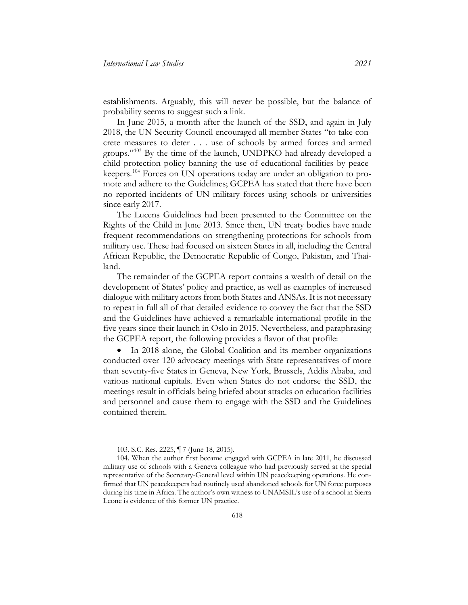establishments. Arguably, this will never be possible, but the balance of probability seems to suggest such a link.

In June 2015, a month after the launch of the SSD, and again in July 2018, the UN Security Council encouraged all member States "to take concrete measures to deter . . . use of schools by armed forces and armed groups."[103](#page-46-0) By the time of the launch, UNDPKO had already developed a child protection policy banning the use of educational facilities by peacekeepers.[104](#page-46-1) Forces on UN operations today are under an obligation to promote and adhere to the Guidelines; GCPEA has stated that there have been no reported incidents of UN military forces using schools or universities since early 2017.

The Lucens Guidelines had been presented to the Committee on the Rights of the Child in June 2013. Since then, UN treaty bodies have made frequent recommendations on strengthening protections for schools from military use. These had focused on sixteen States in all, including the Central African Republic, the Democratic Republic of Congo, Pakistan, and Thailand.

The remainder of the GCPEA report contains a wealth of detail on the development of States' policy and practice, as well as examples of increased dialogue with military actors from both States and ANSAs. It is not necessary to repeat in full all of that detailed evidence to convey the fact that the SSD and the Guidelines have achieved a remarkable international profile in the five years since their launch in Oslo in 2015. Nevertheless, and paraphrasing the GCPEA report, the following provides a flavor of that profile:

• In 2018 alone, the Global Coalition and its member organizations conducted over 120 advocacy meetings with State representatives of more than seventy-five States in Geneva, New York, Brussels, Addis Ababa, and various national capitals. Even when States do not endorse the SSD, the meetings result in officials being briefed about attacks on education facilities and personnel and cause them to engage with the SSD and the Guidelines contained therein.

<sup>103.</sup> S.C. Res. 2225, ¶ 7 (June 18, 2015).

<span id="page-46-1"></span><span id="page-46-0"></span><sup>104.</sup> When the author first became engaged with GCPEA in late 2011, he discussed military use of schools with a Geneva colleague who had previously served at the special representative of the Secretary-General level within UN peacekeeping operations. He confirmed that UN peacekeepers had routinely used abandoned schools for UN force purposes during his time in Africa. The author's own witness to UNAMSIL's use of a school in Sierra Leone is evidence of this former UN practice.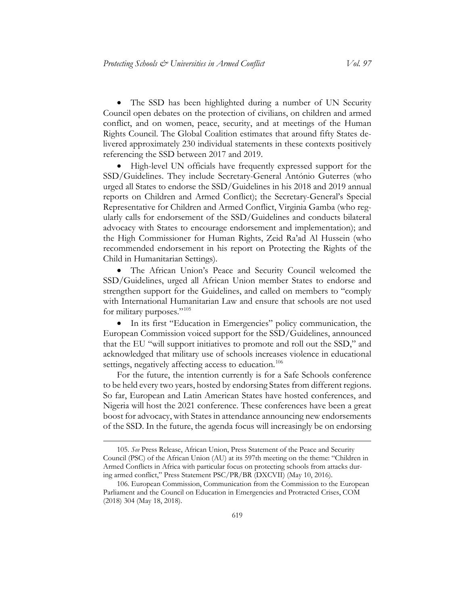• The SSD has been highlighted during a number of UN Security Council open debates on the protection of civilians, on children and armed conflict, and on women, peace, security, and at meetings of the Human Rights Council. The Global Coalition estimates that around fifty States delivered approximately 230 individual statements in these contexts positively referencing the SSD between 2017 and 2019.

• High-level UN officials have frequently expressed support for the SSD/Guidelines. They include Secretary-General António Guterres (who urged all States to endorse the SSD/Guidelines in his 2018 and 2019 annual reports on Children and Armed Conflict); the Secretary-General's Special Representative for Children and Armed Conflict, Virginia Gamba (who regularly calls for endorsement of the SSD/Guidelines and conducts bilateral advocacy with States to encourage endorsement and implementation); and the High Commissioner for Human Rights, Zeid Ra'ad Al Hussein (who recommended endorsement in his report on Protecting the Rights of the Child in Humanitarian Settings).

• The African Union's Peace and Security Council welcomed the SSD/Guidelines, urged all African Union member States to endorse and strengthen support for the Guidelines, and called on members to "comply with International Humanitarian Law and ensure that schools are not used for military purposes."[105](#page-47-0)

• In its first "Education in Emergencies" policy communication, the European Commission voiced support for the SSD/Guidelines, announced that the EU "will support initiatives to promote and roll out the SSD," and acknowledged that military use of schools increases violence in educational settings, negatively affecting access to education.<sup>[106](#page-47-1)</sup>

For the future, the intention currently is for a Safe Schools conference to be held every two years, hosted by endorsing States from different regions. So far, European and Latin American States have hosted conferences, and Nigeria will host the 2021 conference. These conferences have been a great boost for advocacy, with States in attendance announcing new endorsements of the SSD. In the future, the agenda focus will increasingly be on endorsing

<span id="page-47-0"></span><sup>105.</sup> *See* Press Release, African Union, Press Statement of the Peace and Security Council (PSC) of the African Union (AU) at its 597th meeting on the theme: "Children in Armed Conflicts in Africa with particular focus on protecting schools from attacks during armed conflict," Press Statement PSC/PR/BR (DXCVII) (May 10, 2016).

<span id="page-47-1"></span><sup>106.</sup> European Commission, Communication from the Commission to the European Parliament and the Council on Education in Emergencies and Protracted Crises, COM (2018) 304 (May 18, 2018).